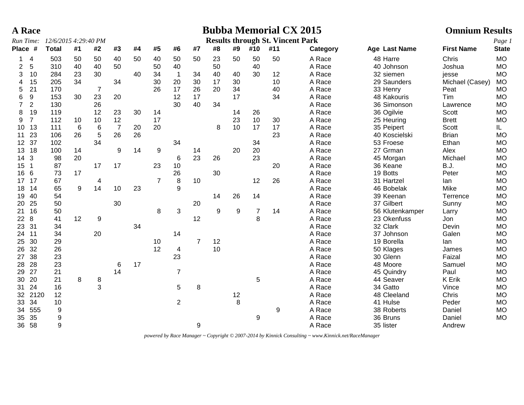| <b>Results through St. Vincent Park</b><br>12/6/2015 4:29:40 PM<br>Place #<br><b>Total</b><br>#1<br>#3<br>#4<br>#5<br>#6<br>#7<br>#8<br>#9<br>#10<br>#11<br>Age Last Name<br><b>First Name</b><br><b>State</b><br>#2<br>Category<br>50<br>50<br>50<br>50<br>A Race<br><b>MO</b><br>503<br>50<br>50<br>40<br>40<br>50<br>50<br>23<br>48 Harre<br>Chris<br>$\overline{4}$<br>1<br>5<br>A Race<br><b>MO</b><br>2<br>310<br>40<br>40<br>50<br>50<br>40<br>50<br>40<br>40 Johnson<br>Joshua<br>10<br>40<br>40<br>A Race<br><b>MO</b><br>3<br>284<br>23<br>30<br>34<br>$\overline{1}$<br>34<br>40<br>30<br>12<br>32 siemen<br>jesse<br>34<br>30<br>10<br>15<br>205<br>34<br>20<br>30<br>17<br>30<br>A Race<br>29 Saunders<br>Michael (Casey)<br><b>MO</b><br>4<br>34<br>21<br>26<br>17<br>26<br>20<br>A Race<br>5<br>170<br>$\overline{7}$<br>40<br>33 Henry<br><b>MO</b><br>Peat<br>23<br>17<br>6<br>9<br>30<br>20<br>12<br>17<br>34<br>A Race<br><b>MO</b><br>153<br>48 Kakouris<br>Tim<br>26<br>30<br>40<br>36 Simonson<br>$\overline{7}$<br>$\overline{2}$<br>130<br>34<br>A Race<br><b>MO</b><br>Lawrence<br>12<br>30<br><b>MO</b><br>8<br>19<br>119<br>23<br>14<br>26<br>A Race<br>36 Ogilvie<br>14<br>Scott<br>17<br>10<br><b>MO</b><br>9<br>$\overline{7}$<br>12<br>23<br>30<br>A Race<br>112<br>10<br>10<br>25 Heuring<br><b>Brett</b><br>$\overline{7}$<br>20<br>10<br>17<br>17<br>13<br>111<br>6<br>6<br>20<br>8<br>A Race<br>35 Peipert<br>Scott<br>IL.<br>10 <sup>°</sup><br>$\sqrt{5}$<br>26<br>26<br>23<br>26<br>23<br><b>MO</b><br>106<br>A Race<br><b>Brian</b><br>11<br>40 Koscielski<br>34<br>37<br>34<br>34<br>A Race<br>53 Froese<br>Ethan<br><b>MO</b><br>12<br>102<br>18<br>14<br>9<br>14<br>9<br>20<br>20<br>A Race<br>27 Grman<br><b>MO</b><br>13<br>100<br>14<br>Alex<br>3<br>20<br>23<br>26<br>23<br>98<br>A Race<br>Michael<br><b>MO</b><br>14<br>6<br>45 Morgan<br>17<br>17<br>87<br>23<br>10<br>20<br>A Race<br>36 Keane<br><b>B.J.</b><br><b>MO</b><br>15<br>$\overline{1}$<br>30<br>16<br>6<br>73<br>17<br>26<br>A Race<br>19 Botts<br>Peter<br><b>MO</b><br>8<br>12<br>26<br>$\overline{7}$<br>10<br>A Race<br><b>MO</b><br>17<br>17<br>67<br>31 Hartzel<br>lan<br>4<br>14<br>65<br>9<br>10<br>23<br>9<br>A Race<br>Mike<br><b>MO</b><br>18<br>14<br>46 Bobelak<br>40<br>54<br>26<br>14<br>A Race<br>39 Keenan<br><b>MO</b><br>19<br>14<br>Terrence<br>25<br>50<br>30<br>20<br>A Race<br>37 Gilbert<br><b>MO</b><br>20<br>Sunny<br>3<br>$\boldsymbol{9}$<br>16<br>50<br>8<br>9<br>$\overline{7}$<br>A Race<br><b>MO</b><br>21<br>14<br>56 Klutenkamper<br>Larry<br>12<br>8<br>8<br>41<br>12<br>9<br>A Race<br>23 Okenfuss<br><b>MO</b><br>22<br>Jon<br>34<br>23<br>31<br>A Race<br>32 Clark<br><b>MO</b><br>34<br>Devin<br>20<br>11<br>34<br>A Race<br>Galen<br><b>MO</b><br>24<br>14<br>37 Johnson<br>30<br>29<br>$\overline{7}$<br>12<br>A Race<br>25<br>10<br>19 Borella<br><b>MO</b><br>lan<br>26<br>32<br>12<br>10<br>A Race<br><b>MO</b><br>26<br>$\overline{\mathbf{4}}$<br>50 Klages<br>James<br>23<br>23<br>38<br>A Race<br><b>MO</b><br>27<br>30 Glenn<br>Faizal<br>28<br>23<br>17<br>A Race<br>48 Moore<br><b>MO</b><br>28<br>6<br>Samuel<br>27<br>14<br>$\overline{7}$<br>21<br>A Race<br>Paul<br><b>MO</b><br>29<br>45 Quindry<br>20<br>8<br>5<br>21<br>8<br>A Race<br>44 Seaver<br>30<br><b>K</b> Erik<br><b>MO</b><br>3<br>A Race<br>34 Gatto<br>24<br>16<br>8<br>Vince<br><b>MO</b><br>31<br>5<br>2120<br>12<br>12<br>A Race<br>48 Cleeland<br>Chris<br><b>MO</b><br>32<br>8<br>$\overline{2}$<br>34<br>10<br>A Race<br>41 Hulse<br><b>MO</b><br>33<br>Peder<br>555<br>$9\,$<br>A Race<br>38 Roberts<br><b>MO</b><br>9<br>Daniel<br>34<br>35<br>9<br>A Race<br>36 Bruns<br><b>MO</b><br>9<br>Daniel<br>35<br>36 58<br>9<br>9<br>A Race<br>35 lister<br>Andrew | <b>A Race</b> |  |  |  |  |  |  | <b>Bubba Memorial CX 2015</b> | <b>Omnium Results</b> |        |
|----------------------------------------------------------------------------------------------------------------------------------------------------------------------------------------------------------------------------------------------------------------------------------------------------------------------------------------------------------------------------------------------------------------------------------------------------------------------------------------------------------------------------------------------------------------------------------------------------------------------------------------------------------------------------------------------------------------------------------------------------------------------------------------------------------------------------------------------------------------------------------------------------------------------------------------------------------------------------------------------------------------------------------------------------------------------------------------------------------------------------------------------------------------------------------------------------------------------------------------------------------------------------------------------------------------------------------------------------------------------------------------------------------------------------------------------------------------------------------------------------------------------------------------------------------------------------------------------------------------------------------------------------------------------------------------------------------------------------------------------------------------------------------------------------------------------------------------------------------------------------------------------------------------------------------------------------------------------------------------------------------------------------------------------------------------------------------------------------------------------------------------------------------------------------------------------------------------------------------------------------------------------------------------------------------------------------------------------------------------------------------------------------------------------------------------------------------------------------------------------------------------------------------------------------------------------------------------------------------------------------------------------------------------------------------------------------------------------------------------------------------------------------------------------------------------------------------------------------------------------------------------------------------------------------------------------------------------------------------------------------------------------------------------------------------------------------------------------------------------------------------------------------------------------------------------------------------------------------------------------------------------------------------------------------------------------------------------------------------------------------------------------------------------------------------------------------------------------------------------------------------------------------------------------------------------------------------------------------------------------------------------------------------------------------------------------------------------------------------------------------------------------------------------------------------|---------------|--|--|--|--|--|--|-------------------------------|-----------------------|--------|
|                                                                                                                                                                                                                                                                                                                                                                                                                                                                                                                                                                                                                                                                                                                                                                                                                                                                                                                                                                                                                                                                                                                                                                                                                                                                                                                                                                                                                                                                                                                                                                                                                                                                                                                                                                                                                                                                                                                                                                                                                                                                                                                                                                                                                                                                                                                                                                                                                                                                                                                                                                                                                                                                                                                                                                                                                                                                                                                                                                                                                                                                                                                                                                                                                                                                                                                                                                                                                                                                                                                                                                                                                                                                                                                                                                                                          | Run Time:     |  |  |  |  |  |  |                               |                       | Page 1 |
|                                                                                                                                                                                                                                                                                                                                                                                                                                                                                                                                                                                                                                                                                                                                                                                                                                                                                                                                                                                                                                                                                                                                                                                                                                                                                                                                                                                                                                                                                                                                                                                                                                                                                                                                                                                                                                                                                                                                                                                                                                                                                                                                                                                                                                                                                                                                                                                                                                                                                                                                                                                                                                                                                                                                                                                                                                                                                                                                                                                                                                                                                                                                                                                                                                                                                                                                                                                                                                                                                                                                                                                                                                                                                                                                                                                                          |               |  |  |  |  |  |  |                               |                       |        |
|                                                                                                                                                                                                                                                                                                                                                                                                                                                                                                                                                                                                                                                                                                                                                                                                                                                                                                                                                                                                                                                                                                                                                                                                                                                                                                                                                                                                                                                                                                                                                                                                                                                                                                                                                                                                                                                                                                                                                                                                                                                                                                                                                                                                                                                                                                                                                                                                                                                                                                                                                                                                                                                                                                                                                                                                                                                                                                                                                                                                                                                                                                                                                                                                                                                                                                                                                                                                                                                                                                                                                                                                                                                                                                                                                                                                          |               |  |  |  |  |  |  |                               |                       |        |
|                                                                                                                                                                                                                                                                                                                                                                                                                                                                                                                                                                                                                                                                                                                                                                                                                                                                                                                                                                                                                                                                                                                                                                                                                                                                                                                                                                                                                                                                                                                                                                                                                                                                                                                                                                                                                                                                                                                                                                                                                                                                                                                                                                                                                                                                                                                                                                                                                                                                                                                                                                                                                                                                                                                                                                                                                                                                                                                                                                                                                                                                                                                                                                                                                                                                                                                                                                                                                                                                                                                                                                                                                                                                                                                                                                                                          |               |  |  |  |  |  |  |                               |                       |        |
|                                                                                                                                                                                                                                                                                                                                                                                                                                                                                                                                                                                                                                                                                                                                                                                                                                                                                                                                                                                                                                                                                                                                                                                                                                                                                                                                                                                                                                                                                                                                                                                                                                                                                                                                                                                                                                                                                                                                                                                                                                                                                                                                                                                                                                                                                                                                                                                                                                                                                                                                                                                                                                                                                                                                                                                                                                                                                                                                                                                                                                                                                                                                                                                                                                                                                                                                                                                                                                                                                                                                                                                                                                                                                                                                                                                                          |               |  |  |  |  |  |  |                               |                       |        |
|                                                                                                                                                                                                                                                                                                                                                                                                                                                                                                                                                                                                                                                                                                                                                                                                                                                                                                                                                                                                                                                                                                                                                                                                                                                                                                                                                                                                                                                                                                                                                                                                                                                                                                                                                                                                                                                                                                                                                                                                                                                                                                                                                                                                                                                                                                                                                                                                                                                                                                                                                                                                                                                                                                                                                                                                                                                                                                                                                                                                                                                                                                                                                                                                                                                                                                                                                                                                                                                                                                                                                                                                                                                                                                                                                                                                          |               |  |  |  |  |  |  |                               |                       |        |
|                                                                                                                                                                                                                                                                                                                                                                                                                                                                                                                                                                                                                                                                                                                                                                                                                                                                                                                                                                                                                                                                                                                                                                                                                                                                                                                                                                                                                                                                                                                                                                                                                                                                                                                                                                                                                                                                                                                                                                                                                                                                                                                                                                                                                                                                                                                                                                                                                                                                                                                                                                                                                                                                                                                                                                                                                                                                                                                                                                                                                                                                                                                                                                                                                                                                                                                                                                                                                                                                                                                                                                                                                                                                                                                                                                                                          |               |  |  |  |  |  |  |                               |                       |        |
|                                                                                                                                                                                                                                                                                                                                                                                                                                                                                                                                                                                                                                                                                                                                                                                                                                                                                                                                                                                                                                                                                                                                                                                                                                                                                                                                                                                                                                                                                                                                                                                                                                                                                                                                                                                                                                                                                                                                                                                                                                                                                                                                                                                                                                                                                                                                                                                                                                                                                                                                                                                                                                                                                                                                                                                                                                                                                                                                                                                                                                                                                                                                                                                                                                                                                                                                                                                                                                                                                                                                                                                                                                                                                                                                                                                                          |               |  |  |  |  |  |  |                               |                       |        |
|                                                                                                                                                                                                                                                                                                                                                                                                                                                                                                                                                                                                                                                                                                                                                                                                                                                                                                                                                                                                                                                                                                                                                                                                                                                                                                                                                                                                                                                                                                                                                                                                                                                                                                                                                                                                                                                                                                                                                                                                                                                                                                                                                                                                                                                                                                                                                                                                                                                                                                                                                                                                                                                                                                                                                                                                                                                                                                                                                                                                                                                                                                                                                                                                                                                                                                                                                                                                                                                                                                                                                                                                                                                                                                                                                                                                          |               |  |  |  |  |  |  |                               |                       |        |
|                                                                                                                                                                                                                                                                                                                                                                                                                                                                                                                                                                                                                                                                                                                                                                                                                                                                                                                                                                                                                                                                                                                                                                                                                                                                                                                                                                                                                                                                                                                                                                                                                                                                                                                                                                                                                                                                                                                                                                                                                                                                                                                                                                                                                                                                                                                                                                                                                                                                                                                                                                                                                                                                                                                                                                                                                                                                                                                                                                                                                                                                                                                                                                                                                                                                                                                                                                                                                                                                                                                                                                                                                                                                                                                                                                                                          |               |  |  |  |  |  |  |                               |                       |        |
|                                                                                                                                                                                                                                                                                                                                                                                                                                                                                                                                                                                                                                                                                                                                                                                                                                                                                                                                                                                                                                                                                                                                                                                                                                                                                                                                                                                                                                                                                                                                                                                                                                                                                                                                                                                                                                                                                                                                                                                                                                                                                                                                                                                                                                                                                                                                                                                                                                                                                                                                                                                                                                                                                                                                                                                                                                                                                                                                                                                                                                                                                                                                                                                                                                                                                                                                                                                                                                                                                                                                                                                                                                                                                                                                                                                                          |               |  |  |  |  |  |  |                               |                       |        |
|                                                                                                                                                                                                                                                                                                                                                                                                                                                                                                                                                                                                                                                                                                                                                                                                                                                                                                                                                                                                                                                                                                                                                                                                                                                                                                                                                                                                                                                                                                                                                                                                                                                                                                                                                                                                                                                                                                                                                                                                                                                                                                                                                                                                                                                                                                                                                                                                                                                                                                                                                                                                                                                                                                                                                                                                                                                                                                                                                                                                                                                                                                                                                                                                                                                                                                                                                                                                                                                                                                                                                                                                                                                                                                                                                                                                          |               |  |  |  |  |  |  |                               |                       |        |
|                                                                                                                                                                                                                                                                                                                                                                                                                                                                                                                                                                                                                                                                                                                                                                                                                                                                                                                                                                                                                                                                                                                                                                                                                                                                                                                                                                                                                                                                                                                                                                                                                                                                                                                                                                                                                                                                                                                                                                                                                                                                                                                                                                                                                                                                                                                                                                                                                                                                                                                                                                                                                                                                                                                                                                                                                                                                                                                                                                                                                                                                                                                                                                                                                                                                                                                                                                                                                                                                                                                                                                                                                                                                                                                                                                                                          |               |  |  |  |  |  |  |                               |                       |        |
|                                                                                                                                                                                                                                                                                                                                                                                                                                                                                                                                                                                                                                                                                                                                                                                                                                                                                                                                                                                                                                                                                                                                                                                                                                                                                                                                                                                                                                                                                                                                                                                                                                                                                                                                                                                                                                                                                                                                                                                                                                                                                                                                                                                                                                                                                                                                                                                                                                                                                                                                                                                                                                                                                                                                                                                                                                                                                                                                                                                                                                                                                                                                                                                                                                                                                                                                                                                                                                                                                                                                                                                                                                                                                                                                                                                                          |               |  |  |  |  |  |  |                               |                       |        |
|                                                                                                                                                                                                                                                                                                                                                                                                                                                                                                                                                                                                                                                                                                                                                                                                                                                                                                                                                                                                                                                                                                                                                                                                                                                                                                                                                                                                                                                                                                                                                                                                                                                                                                                                                                                                                                                                                                                                                                                                                                                                                                                                                                                                                                                                                                                                                                                                                                                                                                                                                                                                                                                                                                                                                                                                                                                                                                                                                                                                                                                                                                                                                                                                                                                                                                                                                                                                                                                                                                                                                                                                                                                                                                                                                                                                          |               |  |  |  |  |  |  |                               |                       |        |
|                                                                                                                                                                                                                                                                                                                                                                                                                                                                                                                                                                                                                                                                                                                                                                                                                                                                                                                                                                                                                                                                                                                                                                                                                                                                                                                                                                                                                                                                                                                                                                                                                                                                                                                                                                                                                                                                                                                                                                                                                                                                                                                                                                                                                                                                                                                                                                                                                                                                                                                                                                                                                                                                                                                                                                                                                                                                                                                                                                                                                                                                                                                                                                                                                                                                                                                                                                                                                                                                                                                                                                                                                                                                                                                                                                                                          |               |  |  |  |  |  |  |                               |                       |        |
|                                                                                                                                                                                                                                                                                                                                                                                                                                                                                                                                                                                                                                                                                                                                                                                                                                                                                                                                                                                                                                                                                                                                                                                                                                                                                                                                                                                                                                                                                                                                                                                                                                                                                                                                                                                                                                                                                                                                                                                                                                                                                                                                                                                                                                                                                                                                                                                                                                                                                                                                                                                                                                                                                                                                                                                                                                                                                                                                                                                                                                                                                                                                                                                                                                                                                                                                                                                                                                                                                                                                                                                                                                                                                                                                                                                                          |               |  |  |  |  |  |  |                               |                       |        |
|                                                                                                                                                                                                                                                                                                                                                                                                                                                                                                                                                                                                                                                                                                                                                                                                                                                                                                                                                                                                                                                                                                                                                                                                                                                                                                                                                                                                                                                                                                                                                                                                                                                                                                                                                                                                                                                                                                                                                                                                                                                                                                                                                                                                                                                                                                                                                                                                                                                                                                                                                                                                                                                                                                                                                                                                                                                                                                                                                                                                                                                                                                                                                                                                                                                                                                                                                                                                                                                                                                                                                                                                                                                                                                                                                                                                          |               |  |  |  |  |  |  |                               |                       |        |
|                                                                                                                                                                                                                                                                                                                                                                                                                                                                                                                                                                                                                                                                                                                                                                                                                                                                                                                                                                                                                                                                                                                                                                                                                                                                                                                                                                                                                                                                                                                                                                                                                                                                                                                                                                                                                                                                                                                                                                                                                                                                                                                                                                                                                                                                                                                                                                                                                                                                                                                                                                                                                                                                                                                                                                                                                                                                                                                                                                                                                                                                                                                                                                                                                                                                                                                                                                                                                                                                                                                                                                                                                                                                                                                                                                                                          |               |  |  |  |  |  |  |                               |                       |        |
|                                                                                                                                                                                                                                                                                                                                                                                                                                                                                                                                                                                                                                                                                                                                                                                                                                                                                                                                                                                                                                                                                                                                                                                                                                                                                                                                                                                                                                                                                                                                                                                                                                                                                                                                                                                                                                                                                                                                                                                                                                                                                                                                                                                                                                                                                                                                                                                                                                                                                                                                                                                                                                                                                                                                                                                                                                                                                                                                                                                                                                                                                                                                                                                                                                                                                                                                                                                                                                                                                                                                                                                                                                                                                                                                                                                                          |               |  |  |  |  |  |  |                               |                       |        |
|                                                                                                                                                                                                                                                                                                                                                                                                                                                                                                                                                                                                                                                                                                                                                                                                                                                                                                                                                                                                                                                                                                                                                                                                                                                                                                                                                                                                                                                                                                                                                                                                                                                                                                                                                                                                                                                                                                                                                                                                                                                                                                                                                                                                                                                                                                                                                                                                                                                                                                                                                                                                                                                                                                                                                                                                                                                                                                                                                                                                                                                                                                                                                                                                                                                                                                                                                                                                                                                                                                                                                                                                                                                                                                                                                                                                          |               |  |  |  |  |  |  |                               |                       |        |
|                                                                                                                                                                                                                                                                                                                                                                                                                                                                                                                                                                                                                                                                                                                                                                                                                                                                                                                                                                                                                                                                                                                                                                                                                                                                                                                                                                                                                                                                                                                                                                                                                                                                                                                                                                                                                                                                                                                                                                                                                                                                                                                                                                                                                                                                                                                                                                                                                                                                                                                                                                                                                                                                                                                                                                                                                                                                                                                                                                                                                                                                                                                                                                                                                                                                                                                                                                                                                                                                                                                                                                                                                                                                                                                                                                                                          |               |  |  |  |  |  |  |                               |                       |        |
|                                                                                                                                                                                                                                                                                                                                                                                                                                                                                                                                                                                                                                                                                                                                                                                                                                                                                                                                                                                                                                                                                                                                                                                                                                                                                                                                                                                                                                                                                                                                                                                                                                                                                                                                                                                                                                                                                                                                                                                                                                                                                                                                                                                                                                                                                                                                                                                                                                                                                                                                                                                                                                                                                                                                                                                                                                                                                                                                                                                                                                                                                                                                                                                                                                                                                                                                                                                                                                                                                                                                                                                                                                                                                                                                                                                                          |               |  |  |  |  |  |  |                               |                       |        |
|                                                                                                                                                                                                                                                                                                                                                                                                                                                                                                                                                                                                                                                                                                                                                                                                                                                                                                                                                                                                                                                                                                                                                                                                                                                                                                                                                                                                                                                                                                                                                                                                                                                                                                                                                                                                                                                                                                                                                                                                                                                                                                                                                                                                                                                                                                                                                                                                                                                                                                                                                                                                                                                                                                                                                                                                                                                                                                                                                                                                                                                                                                                                                                                                                                                                                                                                                                                                                                                                                                                                                                                                                                                                                                                                                                                                          |               |  |  |  |  |  |  |                               |                       |        |
|                                                                                                                                                                                                                                                                                                                                                                                                                                                                                                                                                                                                                                                                                                                                                                                                                                                                                                                                                                                                                                                                                                                                                                                                                                                                                                                                                                                                                                                                                                                                                                                                                                                                                                                                                                                                                                                                                                                                                                                                                                                                                                                                                                                                                                                                                                                                                                                                                                                                                                                                                                                                                                                                                                                                                                                                                                                                                                                                                                                                                                                                                                                                                                                                                                                                                                                                                                                                                                                                                                                                                                                                                                                                                                                                                                                                          |               |  |  |  |  |  |  |                               |                       |        |
|                                                                                                                                                                                                                                                                                                                                                                                                                                                                                                                                                                                                                                                                                                                                                                                                                                                                                                                                                                                                                                                                                                                                                                                                                                                                                                                                                                                                                                                                                                                                                                                                                                                                                                                                                                                                                                                                                                                                                                                                                                                                                                                                                                                                                                                                                                                                                                                                                                                                                                                                                                                                                                                                                                                                                                                                                                                                                                                                                                                                                                                                                                                                                                                                                                                                                                                                                                                                                                                                                                                                                                                                                                                                                                                                                                                                          |               |  |  |  |  |  |  |                               |                       |        |
|                                                                                                                                                                                                                                                                                                                                                                                                                                                                                                                                                                                                                                                                                                                                                                                                                                                                                                                                                                                                                                                                                                                                                                                                                                                                                                                                                                                                                                                                                                                                                                                                                                                                                                                                                                                                                                                                                                                                                                                                                                                                                                                                                                                                                                                                                                                                                                                                                                                                                                                                                                                                                                                                                                                                                                                                                                                                                                                                                                                                                                                                                                                                                                                                                                                                                                                                                                                                                                                                                                                                                                                                                                                                                                                                                                                                          |               |  |  |  |  |  |  |                               |                       |        |
|                                                                                                                                                                                                                                                                                                                                                                                                                                                                                                                                                                                                                                                                                                                                                                                                                                                                                                                                                                                                                                                                                                                                                                                                                                                                                                                                                                                                                                                                                                                                                                                                                                                                                                                                                                                                                                                                                                                                                                                                                                                                                                                                                                                                                                                                                                                                                                                                                                                                                                                                                                                                                                                                                                                                                                                                                                                                                                                                                                                                                                                                                                                                                                                                                                                                                                                                                                                                                                                                                                                                                                                                                                                                                                                                                                                                          |               |  |  |  |  |  |  |                               |                       |        |
|                                                                                                                                                                                                                                                                                                                                                                                                                                                                                                                                                                                                                                                                                                                                                                                                                                                                                                                                                                                                                                                                                                                                                                                                                                                                                                                                                                                                                                                                                                                                                                                                                                                                                                                                                                                                                                                                                                                                                                                                                                                                                                                                                                                                                                                                                                                                                                                                                                                                                                                                                                                                                                                                                                                                                                                                                                                                                                                                                                                                                                                                                                                                                                                                                                                                                                                                                                                                                                                                                                                                                                                                                                                                                                                                                                                                          |               |  |  |  |  |  |  |                               |                       |        |
|                                                                                                                                                                                                                                                                                                                                                                                                                                                                                                                                                                                                                                                                                                                                                                                                                                                                                                                                                                                                                                                                                                                                                                                                                                                                                                                                                                                                                                                                                                                                                                                                                                                                                                                                                                                                                                                                                                                                                                                                                                                                                                                                                                                                                                                                                                                                                                                                                                                                                                                                                                                                                                                                                                                                                                                                                                                                                                                                                                                                                                                                                                                                                                                                                                                                                                                                                                                                                                                                                                                                                                                                                                                                                                                                                                                                          |               |  |  |  |  |  |  |                               |                       |        |
|                                                                                                                                                                                                                                                                                                                                                                                                                                                                                                                                                                                                                                                                                                                                                                                                                                                                                                                                                                                                                                                                                                                                                                                                                                                                                                                                                                                                                                                                                                                                                                                                                                                                                                                                                                                                                                                                                                                                                                                                                                                                                                                                                                                                                                                                                                                                                                                                                                                                                                                                                                                                                                                                                                                                                                                                                                                                                                                                                                                                                                                                                                                                                                                                                                                                                                                                                                                                                                                                                                                                                                                                                                                                                                                                                                                                          |               |  |  |  |  |  |  |                               |                       |        |
|                                                                                                                                                                                                                                                                                                                                                                                                                                                                                                                                                                                                                                                                                                                                                                                                                                                                                                                                                                                                                                                                                                                                                                                                                                                                                                                                                                                                                                                                                                                                                                                                                                                                                                                                                                                                                                                                                                                                                                                                                                                                                                                                                                                                                                                                                                                                                                                                                                                                                                                                                                                                                                                                                                                                                                                                                                                                                                                                                                                                                                                                                                                                                                                                                                                                                                                                                                                                                                                                                                                                                                                                                                                                                                                                                                                                          |               |  |  |  |  |  |  |                               |                       |        |
|                                                                                                                                                                                                                                                                                                                                                                                                                                                                                                                                                                                                                                                                                                                                                                                                                                                                                                                                                                                                                                                                                                                                                                                                                                                                                                                                                                                                                                                                                                                                                                                                                                                                                                                                                                                                                                                                                                                                                                                                                                                                                                                                                                                                                                                                                                                                                                                                                                                                                                                                                                                                                                                                                                                                                                                                                                                                                                                                                                                                                                                                                                                                                                                                                                                                                                                                                                                                                                                                                                                                                                                                                                                                                                                                                                                                          |               |  |  |  |  |  |  |                               |                       |        |
|                                                                                                                                                                                                                                                                                                                                                                                                                                                                                                                                                                                                                                                                                                                                                                                                                                                                                                                                                                                                                                                                                                                                                                                                                                                                                                                                                                                                                                                                                                                                                                                                                                                                                                                                                                                                                                                                                                                                                                                                                                                                                                                                                                                                                                                                                                                                                                                                                                                                                                                                                                                                                                                                                                                                                                                                                                                                                                                                                                                                                                                                                                                                                                                                                                                                                                                                                                                                                                                                                                                                                                                                                                                                                                                                                                                                          |               |  |  |  |  |  |  |                               |                       |        |
|                                                                                                                                                                                                                                                                                                                                                                                                                                                                                                                                                                                                                                                                                                                                                                                                                                                                                                                                                                                                                                                                                                                                                                                                                                                                                                                                                                                                                                                                                                                                                                                                                                                                                                                                                                                                                                                                                                                                                                                                                                                                                                                                                                                                                                                                                                                                                                                                                                                                                                                                                                                                                                                                                                                                                                                                                                                                                                                                                                                                                                                                                                                                                                                                                                                                                                                                                                                                                                                                                                                                                                                                                                                                                                                                                                                                          |               |  |  |  |  |  |  |                               |                       |        |
|                                                                                                                                                                                                                                                                                                                                                                                                                                                                                                                                                                                                                                                                                                                                                                                                                                                                                                                                                                                                                                                                                                                                                                                                                                                                                                                                                                                                                                                                                                                                                                                                                                                                                                                                                                                                                                                                                                                                                                                                                                                                                                                                                                                                                                                                                                                                                                                                                                                                                                                                                                                                                                                                                                                                                                                                                                                                                                                                                                                                                                                                                                                                                                                                                                                                                                                                                                                                                                                                                                                                                                                                                                                                                                                                                                                                          |               |  |  |  |  |  |  |                               |                       |        |
|                                                                                                                                                                                                                                                                                                                                                                                                                                                                                                                                                                                                                                                                                                                                                                                                                                                                                                                                                                                                                                                                                                                                                                                                                                                                                                                                                                                                                                                                                                                                                                                                                                                                                                                                                                                                                                                                                                                                                                                                                                                                                                                                                                                                                                                                                                                                                                                                                                                                                                                                                                                                                                                                                                                                                                                                                                                                                                                                                                                                                                                                                                                                                                                                                                                                                                                                                                                                                                                                                                                                                                                                                                                                                                                                                                                                          |               |  |  |  |  |  |  |                               |                       |        |
|                                                                                                                                                                                                                                                                                                                                                                                                                                                                                                                                                                                                                                                                                                                                                                                                                                                                                                                                                                                                                                                                                                                                                                                                                                                                                                                                                                                                                                                                                                                                                                                                                                                                                                                                                                                                                                                                                                                                                                                                                                                                                                                                                                                                                                                                                                                                                                                                                                                                                                                                                                                                                                                                                                                                                                                                                                                                                                                                                                                                                                                                                                                                                                                                                                                                                                                                                                                                                                                                                                                                                                                                                                                                                                                                                                                                          |               |  |  |  |  |  |  |                               |                       |        |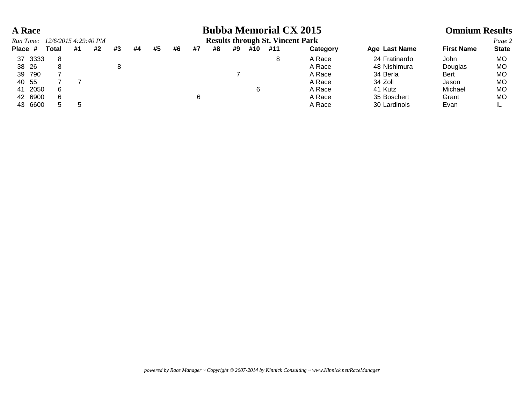## **A Race Bubba Memorial CX 2015 Omnium Results**

|         |         | Run Time: 12/6/2015 4:29:40 PM |    |    |    |    |    |    |    |    |    |     | <b>Results through St. Vincent Park</b> |          |               |                   | Page 2       |
|---------|---------|--------------------------------|----|----|----|----|----|----|----|----|----|-----|-----------------------------------------|----------|---------------|-------------------|--------------|
| Place # |         | Total                          | #1 | #2 | #3 | #4 | #5 | #6 | #7 | #8 | #9 | #10 | #11                                     | Category | Age Last Name | <b>First Name</b> | <b>State</b> |
| 37 3333 |         |                                |    |    |    |    |    |    |    |    |    |     | 8                                       | A Race   | 24 Fratinardo | John              | MO           |
| 38 26   |         |                                |    |    |    |    |    |    |    |    |    |     |                                         | A Race   | 48 Nishimura  | Douglas           | MO           |
| 39 790  |         |                                |    |    |    |    |    |    |    |    |    |     |                                         | A Race   | 34 Berla      | <b>Bert</b>       | MO           |
| 40 55   |         |                                |    |    |    |    |    |    |    |    |    |     |                                         | A Race   | 34 Zoll       | Jason             | MO           |
| 41 2050 |         |                                |    |    |    |    |    |    |    |    |    | 6   |                                         | A Race   | 41 Kutz       | Michael           | MO           |
|         | 42 6900 |                                |    |    |    |    |    |    |    |    |    |     |                                         | A Race   | 35 Boschert   | Grant             | MO           |
|         | 43 6600 |                                | h  |    |    |    |    |    |    |    |    |     |                                         | A Race   | 30 Lardinois  | Evan              |              |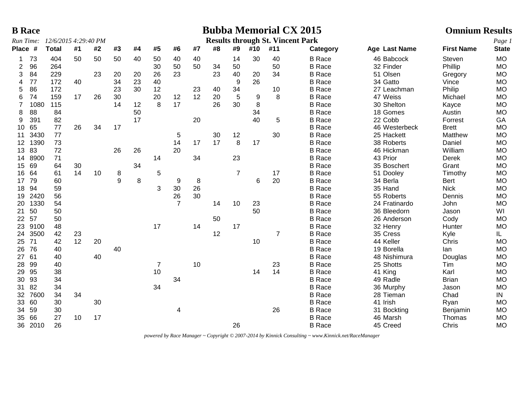|                 | <b>B</b> Race |                      |    |    |                                       |    |                |                |    |    |                 |     |                                         | <b>Bubba Memorial CX 2015</b> |               | <b>Omnium Results</b> |              |
|-----------------|---------------|----------------------|----|----|---------------------------------------|----|----------------|----------------|----|----|-----------------|-----|-----------------------------------------|-------------------------------|---------------|-----------------------|--------------|
|                 | Run Time:     | 12/6/2015 4:29:40 PM |    |    |                                       |    |                |                |    |    |                 |     | <b>Results through St. Vincent Park</b> |                               |               |                       | Page 1       |
| Place #         |               | <b>Total</b>         | #1 | #2 | #3                                    | #4 | #5             | #6             | #7 | #8 | #9              | #10 | #11                                     | Category                      | Age Last Name | <b>First Name</b>     | <b>State</b> |
| 1               | 73            | 404                  | 50 | 50 | 50                                    | 40 | 50             | 40             | 40 |    | 14              | 30  | 40                                      | <b>B</b> Race                 | 46 Babcock    | Steven                | <b>MO</b>    |
| 2               | 96            | 264                  |    |    |                                       |    | 30             | 50             | 50 | 34 | 50              |     | 50                                      | <b>B</b> Race                 | 32 Finder     | Phillip               | <b>MO</b>    |
| 3               | 84            | 229                  |    | 23 | 20                                    | 20 | 26             | 23             |    | 23 | 40              | 20  | 34                                      | <b>B</b> Race                 | 51 Olsen      | Gregory               | <b>MO</b>    |
| 4               | 77            | 172                  | 40 |    | 34                                    | 23 | 40             |                |    |    | 9               | 26  |                                         | <b>B</b> Race                 | 34 Gatto      | Vince                 | <b>MO</b>    |
| 5               | 86            | 172                  |    |    | 23                                    | 30 | 12             |                | 23 | 40 | 34              |     | 10                                      | <b>B</b> Race                 | 27 Leachman   | Philip                | <b>MO</b>    |
| 6               | 74            | 159                  | 17 | 26 | 30                                    |    | 20             | 12             | 12 | 20 | $5\phantom{.0}$ | 9   | 8                                       | <b>B</b> Race                 | 47 Weiss      | Michael               | <b>MO</b>    |
| $\overline{7}$  | 1080          | 115                  |    |    | 14                                    | 12 | 8              | 17             |    | 26 | 30              | 8   |                                         | <b>B</b> Race                 | 30 Shelton    | Kayce                 | <b>MO</b>    |
| 8               | 88            | 84                   |    |    |                                       | 50 |                |                |    |    |                 | 34  |                                         | <b>B</b> Race                 | 18 Gomes      | Austin                | <b>MO</b>    |
| 9               | 391           | 82                   |    |    |                                       | 17 |                |                | 20 |    |                 | 40  | 5                                       | <b>B</b> Race                 | 22 Cobb       | Forrest               | GA           |
| 10              | 65            | 77                   | 26 | 34 | 17                                    |    |                |                |    |    |                 |     |                                         | <b>B</b> Race                 | 46 Westerbeck | <b>Brett</b>          | <b>MO</b>    |
| 11              | 3430          | 77                   |    |    |                                       |    |                | 5              |    | 30 | 12              |     | 30                                      | <b>B</b> Race                 | 25 Hackett    | Matthew               | <b>MO</b>    |
| 12 <sup>°</sup> | 1390          | 73                   |    |    |                                       |    |                | 14             | 17 | 17 | 8               | 17  |                                         | <b>B</b> Race                 | 38 Roberts    | Daniel                | <b>MO</b>    |
| 13              | 83            | 72                   |    |    | 26                                    | 26 |                | 20             |    |    |                 |     |                                         | <b>B</b> Race                 | 46 Hickman    | William               | <b>MO</b>    |
| 14              | 8900          | 71                   |    |    |                                       |    | 14             |                | 34 |    | 23              |     |                                         | <b>B</b> Race                 | 43 Prior      | <b>Derek</b>          | <b>MO</b>    |
| 15              | 69            | 64                   | 30 |    |                                       | 34 |                |                |    |    |                 |     |                                         | <b>B</b> Race                 | 35 Boschert   | Grant                 | <b>MO</b>    |
| 16              | 64            | 61                   | 14 | 10 | $\begin{array}{c} 8 \\ 9 \end{array}$ |    | 5              |                |    |    | $\overline{7}$  |     | 17                                      | <b>B</b> Race                 | 51 Dooley     | Timothy               | <b>MO</b>    |
| 17              | 79            | 60                   |    |    |                                       | 8  |                | 9              | 8  |    |                 | 6   | 20                                      | <b>B</b> Race                 | 34 Berla      | <b>Bert</b>           | <b>MO</b>    |
| 18              | 94            | 59                   |    |    |                                       |    | 3              | 30             | 26 |    |                 |     |                                         | <b>B</b> Race                 | 35 Hand       | <b>Nick</b>           | <b>MO</b>    |
| 19              | 2420          | 56                   |    |    |                                       |    |                | 26             | 30 |    |                 |     |                                         | <b>B</b> Race                 | 55 Roberts    | Dennis                | <b>MO</b>    |
| 20              | 1330          | 54                   |    |    |                                       |    |                | $\overline{7}$ |    | 14 | 10              | 23  |                                         | <b>B</b> Race                 | 24 Fratinardo | John                  | <b>MO</b>    |
| 21              | 50            | 50                   |    |    |                                       |    |                |                |    |    |                 | 50  |                                         | <b>B</b> Race                 | 36 Bleedorn   | Jason                 | WI           |
| 22 <sub>2</sub> | 57            | 50                   |    |    |                                       |    |                |                |    | 50 |                 |     |                                         | <b>B</b> Race                 | 26 Anderson   | Cody                  | <b>MO</b>    |
| 23              | 9100          | 48                   |    |    |                                       |    | 17             |                | 14 |    | 17              |     |                                         | <b>B</b> Race                 | 32 Henry      | Hunter                | <b>MO</b>    |
| 24              | 3500          | 42                   | 23 |    |                                       |    |                |                |    | 12 |                 |     | $\overline{7}$                          | <b>B</b> Race                 | 35 Cress      | Kyle                  | IL.          |
| 25 <sub>2</sub> | -71           | 42                   | 12 | 20 |                                       |    |                |                |    |    |                 | 10  |                                         | <b>B</b> Race                 | 44 Keller     | Chris                 | <b>MO</b>    |
| 26              | 76            | 40                   |    |    | 40                                    |    |                |                |    |    |                 |     |                                         | <b>B</b> Race                 | 19 Borella    | lan                   | <b>MO</b>    |
| 27              | 61            | 40                   |    | 40 |                                       |    |                |                |    |    |                 |     |                                         | <b>B</b> Race                 | 48 Nishimura  | Douglas               | <b>MO</b>    |
| 28              | 99            | 40                   |    |    |                                       |    | $\overline{7}$ |                | 10 |    |                 |     | 23                                      | <b>B</b> Race                 | 25 Shotts     | Tim                   | <b>MO</b>    |
| 29              | 95            | 38                   |    |    |                                       |    | 10             |                |    |    |                 | 14  | 14                                      | <b>B</b> Race                 | 41 King       | Karl                  | <b>MO</b>    |
| 30              | 93            | 34                   |    |    |                                       |    |                | 34             |    |    |                 |     |                                         | <b>B</b> Race                 | 49 Radle      | <b>Brian</b>          | <b>MO</b>    |
| 31              | 82            | 34                   |    |    |                                       |    | 34             |                |    |    |                 |     |                                         | <b>B</b> Race                 | 36 Murphy     | Jason                 | <b>MO</b>    |
| 32              | 7600          | 34                   | 34 |    |                                       |    |                |                |    |    |                 |     |                                         | <b>B</b> Race                 | 28 Tieman     | Chad                  | IN           |
| 33              | 60            | 30                   |    | 30 |                                       |    |                |                |    |    |                 |     |                                         | <b>B</b> Race                 | 41 Irish      | Ryan                  | <b>MO</b>    |
| 34              | 59            | 30                   |    |    |                                       |    |                | 4              |    |    |                 |     | 26                                      | <b>B</b> Race                 | 31 Bockting   | Benjamin              | <b>MO</b>    |
| 35              | 66            | 27                   | 10 | 17 |                                       |    |                |                |    |    |                 |     |                                         | <b>B</b> Race                 | 46 Marsh      | Thomas                | <b>MO</b>    |
|                 | 36 2010       | 26                   |    |    |                                       |    |                |                |    |    | 26              |     |                                         | <b>B</b> Race                 | 45 Creed      | Chris                 | <b>MO</b>    |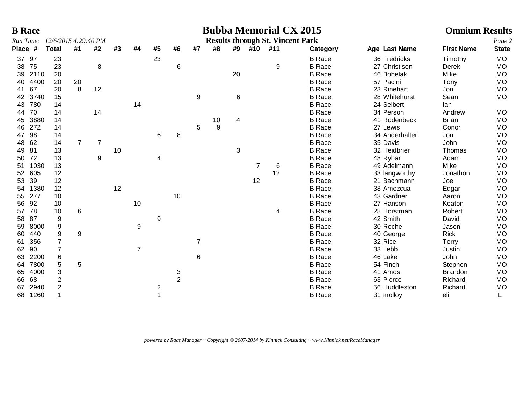| <b>B</b> Race |                      |                |                |    |                |    |                |                |    |    |        | <b>Bubba Memorial CX 2015</b>           |               |                | <b>Omnium Results</b> |              |
|---------------|----------------------|----------------|----------------|----|----------------|----|----------------|----------------|----|----|--------|-----------------------------------------|---------------|----------------|-----------------------|--------------|
| Run Time:     | 12/6/2015 4:29:40 PM |                |                |    |                |    |                |                |    |    |        | <b>Results through St. Vincent Park</b> |               |                |                       | Page 2       |
| Place #       | <b>Total</b>         | #1             | #2             | #3 | #4             | #5 | #6             | #7             | #8 |    | #9 #10 | #11                                     | Category      | Age Last Name  | <b>First Name</b>     | <b>State</b> |
| 97<br>37      | 23                   |                |                |    |                | 23 |                |                |    |    |        |                                         | <b>B</b> Race | 36 Fredricks   | Timothy               | <b>MO</b>    |
| 75<br>38      | 23                   |                | 8              |    |                |    | 6              |                |    |    |        | 9                                       | <b>B</b> Race | 27 Christison  | Derek                 | <b>MO</b>    |
| 2110<br>39    | 20                   |                |                |    |                |    |                |                |    | 20 |        |                                         | <b>B</b> Race | 46 Bobelak     | Mike                  | <b>MO</b>    |
| 4400<br>40    | 20                   | 20             |                |    |                |    |                |                |    |    |        |                                         | <b>B</b> Race | 57 Pacini      | Tony                  | <b>MO</b>    |
| 67<br>41      | 20                   | 8              | 12             |    |                |    |                |                |    |    |        |                                         | <b>B</b> Race | 23 Rinehart    | Jon                   | <b>MO</b>    |
| 3740<br>42    | 15                   |                |                |    |                |    |                | 9              |    | 6  |        |                                         | <b>B</b> Race | 28 Whitehurst  | Sean                  | MO           |
| 780<br>43     | 14                   |                |                |    | 14             |    |                |                |    |    |        |                                         | <b>B</b> Race | 24 Seibert     | lan                   |              |
| 70<br>44      | 14                   |                | 14             |    |                |    |                |                |    |    |        |                                         | <b>B</b> Race | 34 Person      | Andrew                | <b>MO</b>    |
| 3880<br>45    | 14                   |                |                |    |                |    |                |                | 10 | 4  |        |                                         | <b>B</b> Race | 41 Rodenbeck   | <b>Brian</b>          | <b>MO</b>    |
| 272<br>46     | 14                   |                |                |    |                |    |                | 5              | 9  |    |        |                                         | <b>B</b> Race | 27 Lewis       | Conor                 | <b>MO</b>    |
| 98<br>47      | 14                   |                |                |    |                | 6  | 8              |                |    |    |        |                                         | <b>B</b> Race | 34 Anderhalter | Jon                   | <b>MO</b>    |
| 62<br>48      | 14                   | $\overline{7}$ | $\overline{7}$ |    |                |    |                |                |    |    |        |                                         | <b>B</b> Race | 35 Davis       | John                  | <b>MO</b>    |
| 81<br>49      | 13                   |                |                | 10 |                |    |                |                |    | 3  |        |                                         | <b>B</b> Race | 32 Heidbrier   | Thomas                | <b>MO</b>    |
| 72<br>50      | 13                   |                | 9              |    |                | 4  |                |                |    |    |        |                                         | <b>B</b> Race | 48 Rybar       | Adam                  | <b>MO</b>    |
| 1030<br>51    | 13                   |                |                |    |                |    |                |                |    |    |        | 6                                       | <b>B</b> Race | 49 Adelmann    | Mike                  | <b>MO</b>    |
| 605<br>52     | 12                   |                |                |    |                |    |                |                |    |    |        | 12                                      | <b>B</b> Race | 33 langworthy  | Jonathon              | <b>MO</b>    |
| 39<br>53      | 12                   |                |                |    |                |    |                |                |    |    | 12     |                                         | <b>B</b> Race | 21 Bachmann    | Joe                   | <b>MO</b>    |
| 1380<br>54    | 12                   |                |                | 12 |                |    |                |                |    |    |        |                                         | <b>B</b> Race | 38 Amezcua     | Edgar                 | <b>MO</b>    |
| 277<br>55     | 10                   |                |                |    |                |    | 10             |                |    |    |        |                                         | <b>B</b> Race | 43 Gardner     | Aaron                 | <b>MO</b>    |
| 92<br>56      | 10                   |                |                |    | 10             |    |                |                |    |    |        |                                         | <b>B</b> Race | 27 Hanson      | Keaton                | <b>MO</b>    |
| 78<br>57      | 10                   | 6              |                |    |                |    |                |                |    |    |        | 4                                       | <b>B</b> Race | 28 Horstman    | Robert                | <b>MO</b>    |
| 87<br>58      | 9                    |                |                |    |                | 9  |                |                |    |    |        |                                         | <b>B</b> Race | 42 Smith       | David                 | <b>MO</b>    |
| 8000<br>59    | 9                    |                |                |    | 9              |    |                |                |    |    |        |                                         | <b>B</b> Race | 30 Roche       | Jason                 | <b>MO</b>    |
| 440<br>60     | 9                    | 9              |                |    |                |    |                |                |    |    |        |                                         | <b>B</b> Race | 40 George      | <b>Rick</b>           | <b>MO</b>    |
| 356<br>61     | $\overline{7}$       |                |                |    |                |    |                | $\overline{7}$ |    |    |        |                                         | <b>B</b> Race | 32 Rice        | Terry                 | MO           |
| 90<br>62      | $\overline{7}$       |                |                |    | $\overline{7}$ |    |                |                |    |    |        |                                         | <b>B</b> Race | 33 Lebb        | Justin                | <b>MO</b>    |
| 2200<br>63    | 6                    |                |                |    |                |    |                | 6              |    |    |        |                                         | <b>B</b> Race | 46 Lake        | John                  | <b>MO</b>    |
| 7800<br>64    | 5                    | 5              |                |    |                |    |                |                |    |    |        |                                         | <b>B</b> Race | 54 Finch       | Stephen               | <b>MO</b>    |
| 4000<br>65    | 3                    |                |                |    |                |    | 3              |                |    |    |        |                                         | <b>B</b> Race | 41 Amos        | <b>Brandon</b>        | <b>MO</b>    |
| 68<br>66      | $\overline{2}$       |                |                |    |                |    | $\overline{2}$ |                |    |    |        |                                         | <b>B</b> Race | 63 Pierce      | Richard               | <b>MO</b>    |
| 2940<br>67    | $\overline{2}$       |                |                |    |                | 2  |                |                |    |    |        |                                         | <b>B</b> Race | 56 Huddleston  | Richard               | <b>MO</b>    |
| 1260<br>68    |                      |                |                |    |                |    |                |                |    |    |        |                                         | <b>B</b> Race | 31 molloy      | eli                   | IL           |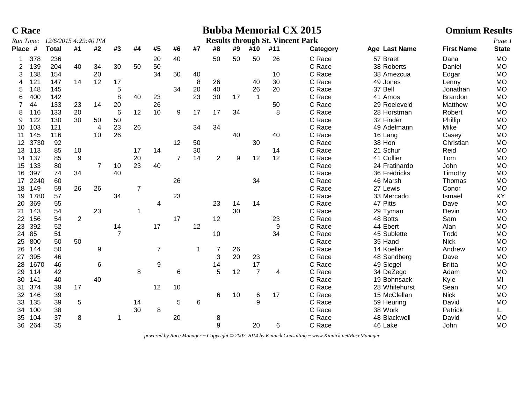|                | <b>C</b> Race |                      |                |                |                |                |                |                |    |                |    |                | <b>Bubba Memorial CX 2015</b>           |          |               | <b>Omnium Results</b> |              |
|----------------|---------------|----------------------|----------------|----------------|----------------|----------------|----------------|----------------|----|----------------|----|----------------|-----------------------------------------|----------|---------------|-----------------------|--------------|
|                | Run Time:     | 12/6/2015 4:29:40 PM |                |                |                |                |                |                |    |                |    |                | <b>Results through St. Vincent Park</b> |          |               |                       | Page 1       |
| Place #        |               | <b>Total</b>         | #1             | #2             | #3             | #4             | #5             | #6             | #7 | #8             | #9 | #10            | #11                                     | Category | Age Last Name | <b>First Name</b>     | <b>State</b> |
| 1              | 378           | 236                  |                |                |                |                | 20             | 40             |    | 50             | 50 | 50             | 26                                      | C Race   | 57 Braet      | Dana                  | <b>MO</b>    |
| 2              | 139           | 204                  | 40             | 34             | 30             | 50             | 50             |                |    |                |    |                |                                         | C Race   | 38 Roberts    | Daniel                | <b>MO</b>    |
| 3              | 138           | 154                  |                | 20             |                |                | 34             | 50             | 40 |                |    |                | 10                                      | C Race   | 38 Amezcua    | Edgar                 | <b>MO</b>    |
| $\overline{4}$ | 121           | 147                  | 14             | 12             | 17             |                |                |                | 8  | 26             |    | 40             | 30                                      | C Race   | 49 Jones      | Lenny                 | <b>MO</b>    |
| 5              | 148           | 145                  |                |                | 5              |                |                | 34             | 20 | 40             |    | 26             | 20                                      | C Race   | 37 Bell       | Jonathan              | <b>MO</b>    |
| 6              | 400           | 142                  |                |                | 8              | 40             | 23             |                | 23 | 30             | 17 | $\overline{1}$ |                                         | C Race   | 41 Amos       | <b>Brandon</b>        | <b>MO</b>    |
| $\overline{7}$ | 44            | 133                  | 23             | 14             | 20             |                | 26             |                |    |                |    |                | 50                                      | C Race   | 29 Roeleveld  | Matthew               | <b>MO</b>    |
| 8              | 116           | 133                  | 20             |                | $\,6\,$        | 12             | 10             | 9              | 17 | 17             | 34 |                | 8                                       | C Race   | 28 Horstman   | Robert                | <b>MO</b>    |
| 9              | 122           | 130                  | 30             | 50             | 50             |                |                |                |    |                |    |                |                                         | C Race   | 32 Finder     | Phillip               | <b>MO</b>    |
| 10             | 103           | 121                  |                | $\overline{4}$ | 23             | 26             |                |                | 34 | 34             |    |                |                                         | C Race   | 49 Adelmann   | Mike                  | <b>MO</b>    |
| 11             | 145           | 116                  |                | 10             | 26             |                |                |                |    |                | 40 |                | 40                                      | C Race   | 16 Lang       | Casey                 | <b>MO</b>    |
| 12             | 3730          | 92                   |                |                |                |                |                | 12             | 50 |                |    | 30             |                                         | C Race   | 38 Hon        | Christian             | <b>MO</b>    |
| 13             | 113           | 85                   | 10             |                |                | 17             | 14             |                | 30 |                |    |                | 14                                      | C Race   | 21 Schur      | Reid                  | <b>MO</b>    |
| 14             | 137           | 85                   | 9              |                |                | 20             |                | $\overline{7}$ | 14 | $\overline{2}$ | 9  | 12             | 12                                      | C Race   | 41 Collier    | Tom                   | <b>MO</b>    |
| 15             | 133           | 80                   |                | $\overline{7}$ | 10             | 23             | 40             |                |    |                |    |                |                                         | C Race   | 24 Fratinardo | John                  | <b>MO</b>    |
| 16             | 397           | 74                   | 34             |                | 40             |                |                |                |    |                |    |                |                                         | C Race   | 36 Fredricks  | Timothy               | <b>MO</b>    |
| 17             | 2240          | 60                   |                |                |                |                |                | 26             |    |                |    | 34             |                                         | C Race   | 46 Marsh      | Thomas                | <b>MO</b>    |
| 18             | 149           | 59                   | 26             | 26             |                | $\overline{7}$ |                |                |    |                |    |                |                                         | C Race   | 27 Lewis      | Conor                 | <b>MO</b>    |
| 19             | 1780          | 57                   |                |                | 34             |                |                | 23             |    |                |    |                |                                         | C Race   | 33 Mercado    | Ismael                | KY           |
| 20             | 369           | 55                   |                |                |                |                | 4              |                |    | 23             | 14 | 14             |                                         | C Race   | 47 Pitts      | Dave                  | <b>MO</b>    |
| 21             | 143           | 54                   |                | 23             |                | 1              |                |                |    |                | 30 |                |                                         | C Race   | 29 Tyman      | Devin                 | <b>MO</b>    |
| 22             | 156           | 54                   | $\overline{2}$ |                |                |                |                | 17             |    | 12             |    |                | 23                                      | C Race   | 48 Botts      | Sam                   | <b>MO</b>    |
| 23             | 392           | 52                   |                |                | 14             |                | 17             |                | 12 |                |    |                | 9                                       | C Race   | 44 Ebert      | Alan                  | <b>MO</b>    |
| 24             | 85            | 51                   |                |                | $\overline{7}$ |                |                |                |    | 10             |    |                | 34                                      | C Race   | 45 Sublette   | Todd                  | <b>MO</b>    |
| 25             | 800           | 50                   | 50             |                |                |                |                |                |    |                |    |                |                                         | C Race   | 35 Hand       | <b>Nick</b>           | <b>MO</b>    |
| 26             | 144           | 50                   |                | 9              |                |                | $\overline{7}$ |                |    | 7              | 26 |                |                                         | C Race   | 14 Koeller    | Andrew                | <b>MO</b>    |
| 27             | 395           | 46                   |                |                |                |                |                |                |    | 3              | 20 | 23             |                                         | C Race   | 48 Sandberg   | Dave                  | <b>MO</b>    |
| 28             | 1670          | 46                   |                | 6              |                |                | 9              |                |    | 14             |    | 17             |                                         | C Race   | 49 Siegel     | <b>Britta</b>         | <b>MO</b>    |
| 29             | 114           | 42                   |                |                |                | 8              |                | 6              |    | 5              | 12 | $\overline{7}$ | 4                                       | C Race   | 34 DeZego     | Adam                  | <b>MO</b>    |
| 30             | 141           | 40                   |                | 40             |                |                |                |                |    |                |    |                |                                         | C Race   | 19 Bohnsack   | Kyle                  | MI           |
| 31             | 374           | 39                   | 17             |                |                |                | 12             | 10             |    |                |    |                |                                         | C Race   | 28 Whitehurst | Sean                  | <b>MO</b>    |
| 32             | 146           | 39                   |                |                |                |                |                |                |    | 6              | 10 | 6              | 17                                      | C Race   | 15 McClellan  | <b>Nick</b>           | <b>MO</b>    |
| 33             | 135           | 39                   | 5              |                |                | 14             |                | 5              | 6  |                |    | $\mathbf{Q}$   |                                         | C Race   | 59 Heuring    | David                 | <b>MO</b>    |
| 34             | 100           | 38                   |                |                |                | 30             | 8              |                |    |                |    |                |                                         | C Race   | 38 Work       | Patrick               | IL.          |
| 35             | 104           | 37                   | 8              |                | 1              |                |                | 20             |    | 8              |    |                |                                         | C Race   | 48 Blackwell  | David                 | <b>MO</b>    |
| 36             | 264           | 35                   |                |                |                |                |                |                |    | 9              |    | 20             | 6                                       | C Race   | 46 Lake       | John                  | <b>MO</b>    |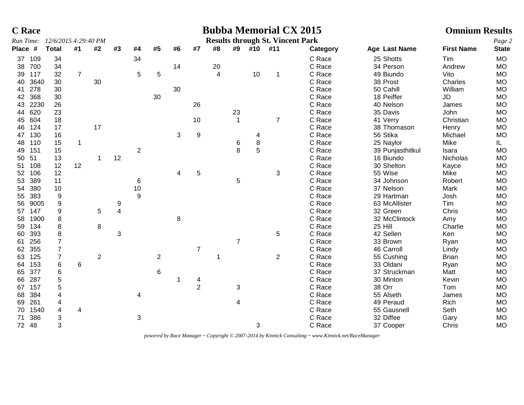|                 | <b>C</b> Race |                                |                  |                |    |                |                |    |                |                         |                |            | <b>Bubba Memorial CX 2015</b>           |          |                  | <b>Omnium Results</b> |              |
|-----------------|---------------|--------------------------------|------------------|----------------|----|----------------|----------------|----|----------------|-------------------------|----------------|------------|-----------------------------------------|----------|------------------|-----------------------|--------------|
|                 |               | Run Time: 12/6/2015 4:29:40 PM |                  |                |    |                |                |    |                |                         |                |            | <b>Results through St. Vincent Park</b> |          |                  |                       | Page 2       |
| Place #         |               | <b>Total</b>                   | #1               | #2             | #3 | #4             | #5             | #6 | #7             | #8                      |                | #9 #10 #11 |                                         | Category | Age Last Name    | <b>First Name</b>     | <b>State</b> |
| 37              | 109           | 34                             |                  |                |    | 34             |                |    |                |                         |                |            |                                         | C Race   | 25 Shotts        | Tim                   | <b>MO</b>    |
| 38              | 700           | 34                             |                  |                |    |                |                | 14 |                | 20                      |                |            |                                         | C Race   | 34 Person        | Andrew                | <b>MO</b>    |
| 39              | 117           | 32                             | $\boldsymbol{7}$ |                |    | 5              | 5              |    |                | $\overline{\mathbf{4}}$ |                | 10         | $\mathbf 1$                             | C Race   | 49 Biundo        | Vito                  | <b>MO</b>    |
| 40              | 3640          | 30                             |                  | 30             |    |                |                |    |                |                         |                |            |                                         | C Race   | 38 Prost         | Charles               | <b>MO</b>    |
| 41              | 278           | 30                             |                  |                |    |                |                | 30 |                |                         |                |            |                                         | C Race   | 50 Cahill        | William               | <b>MO</b>    |
| 42              | 368           | 30                             |                  |                |    |                | 30             |    |                |                         |                |            |                                         | C Race   | 18 Peiffer       | JD                    | <b>MO</b>    |
| 43              | 2230          | 26                             |                  |                |    |                |                |    | 26             |                         |                |            |                                         | C Race   | 40 Nelson        | James                 | <b>MO</b>    |
| 44              | 620           | 23                             |                  |                |    |                |                |    |                |                         | 23             |            |                                         | C Race   | 35 Davis         | John                  | <b>MO</b>    |
| 45              | 604           | 18                             |                  |                |    |                |                |    | 10             |                         | $\overline{1}$ |            | $\overline{7}$                          | C Race   | 41 Verry         | Christian             | <b>MO</b>    |
| 46              | 124           | 17                             |                  | 17             |    |                |                |    |                |                         |                |            |                                         | C Race   | 38 Thomason      | Henry                 | <b>MO</b>    |
| 47              | 130           | 16                             |                  |                |    |                |                | 3  | 9              |                         |                | 4          |                                         | C Race   | 56 Stika         | Michael               | <b>MO</b>    |
| 48              | 110           | 15                             | $\mathbf{1}$     |                |    |                |                |    |                |                         | 6              | 8          |                                         | C Race   | 25 Naylor        | Mike                  | IL.          |
| 49              | 151           | 15                             |                  |                |    | $\overline{c}$ |                |    |                |                         | 8              | 5          |                                         | C Race   | 39 Punjasthitkul | Isara                 | <b>MO</b>    |
| 50              | 51            | 13                             |                  |                | 12 |                |                |    |                |                         |                |            |                                         | C Race   | 16 Biundo        | Nicholas              | <b>MO</b>    |
| 51              | 108           | 12                             | 12               |                |    |                |                |    |                |                         |                |            |                                         | C Race   | 30 Shelton       | Kayce                 | <b>MO</b>    |
| 52 <sub>2</sub> | 106           | 12                             |                  |                |    |                |                | 4  | 5              |                         |                |            | 3                                       | C Race   | 55 Wise          | Mike                  | <b>MO</b>    |
| 53              | 389           | 11                             |                  |                |    | 6              |                |    |                |                         | 5              |            |                                         | C Race   | 34 Johnson       | Robert                | <b>MO</b>    |
| 54              | 380           | 10                             |                  |                |    | $10$           |                |    |                |                         |                |            |                                         | C Race   | 37 Nelson        | Mark                  | <b>MO</b>    |
| 55              | 383           | 9                              |                  |                |    | $9\,$          |                |    |                |                         |                |            |                                         | C Race   | 29 Hartman       | Josh                  | MO           |
| 56              | 9005          | 9                              |                  |                | 9  |                |                |    |                |                         |                |            |                                         | C Race   | 63 McAllister    | Tim                   | <b>MO</b>    |
| 57              | 147           | 9                              |                  | 5              | 4  |                |                |    |                |                         |                |            |                                         | C Race   | 32 Green         | Chris                 | <b>MO</b>    |
| 58              | 1900          | 8                              |                  |                |    |                |                | 8  |                |                         |                |            |                                         | C Race   | 32 McClintock    | Amy                   | <b>MO</b>    |
| 59              | 134           | 8                              |                  | 8              |    |                |                |    |                |                         |                |            |                                         | C Race   | 25 Hill          | Charlie               | <b>MO</b>    |
| 60              | 393           | 8                              |                  |                | 3  |                |                |    |                |                         |                |            | 5                                       | C Race   | 42 Sellen        | Ken                   | <b>MO</b>    |
| 61              | 256           | $\overline{7}$                 |                  |                |    |                |                |    |                |                         | $\overline{7}$ |            |                                         | C Race   | 33 Brown         | Ryan                  | <b>MO</b>    |
| 62              | 355           | $\overline{7}$                 |                  |                |    |                |                |    | $\overline{7}$ |                         |                |            |                                         | C Race   | 46 Carroll       | Lindy                 | MO           |
| 63              | 125           | $\overline{7}$                 |                  | $\overline{2}$ |    |                | $\overline{2}$ |    |                |                         |                |            | $\overline{2}$                          | C Race   | 55 Cushing       | <b>Brian</b>          | <b>MO</b>    |
| 64              | 153           | 6                              | 6                |                |    |                |                |    |                |                         |                |            |                                         | C Race   | 33 Oldani        | Ryan                  | <b>MO</b>    |
| 65              | 377           | 6                              |                  |                |    |                | 6              |    |                |                         |                |            |                                         | C Race   | 37 Struckman     | Matt                  | <b>MO</b>    |
| 66              | 287           | 5                              |                  |                |    |                |                |    | 4              |                         |                |            |                                         | C Race   | 30 Minton        | Kevin                 | <b>MO</b>    |
| 67              | 157           | 5                              |                  |                |    |                |                |    | $\overline{2}$ |                         | 3              |            |                                         | C Race   | 38 Orr           | Tom                   | <b>MO</b>    |
| 68              | 384           | 4                              |                  |                |    | 4              |                |    |                |                         |                |            |                                         | C Race   | 55 Alseth        | James                 | <b>MO</b>    |
| 69              | 261           | 4                              |                  |                |    |                |                |    |                |                         | 4              |            |                                         | C Race   | 49 Peraud        | Rich                  | <b>MO</b>    |
| 70              | 1540          | 4                              | 4                |                |    |                |                |    |                |                         |                |            |                                         | C Race   | 55 Gausnell      | Seth                  | <b>MO</b>    |
| 71              | 386           | 3                              |                  |                |    | 3              |                |    |                |                         |                |            |                                         | C Race   | 32 Diffee        | Gary                  | MO           |
|                 | 72 48         | 3                              |                  |                |    |                |                |    |                |                         |                | 3          |                                         | C Race   | 37 Cooper        | Chris                 | <b>MO</b>    |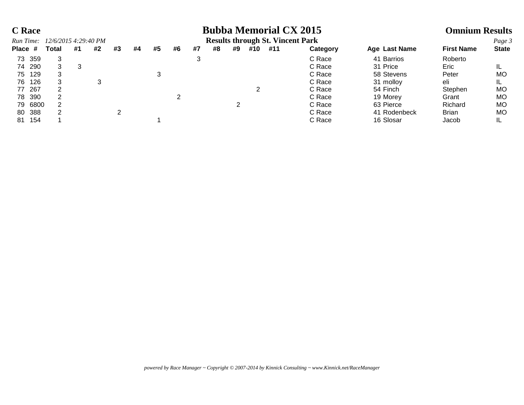| <b>C</b> Race |                      |    |    |    |    |    |    |    |    |    |     | <b>Bubba Memorial CX 2015</b>           |          |               | <b>Omnium Results</b> |              |
|---------------|----------------------|----|----|----|----|----|----|----|----|----|-----|-----------------------------------------|----------|---------------|-----------------------|--------------|
| Run Time:     | 12/6/2015 4:29:40 PM |    |    |    |    |    |    |    |    |    |     | <b>Results through St. Vincent Park</b> |          |               |                       | Page 3       |
| Place #       | Total                | #1 | #2 | #3 | #4 | #5 | #6 | #7 | #8 | #9 | #10 | #11                                     | Category | Age Last Name | <b>First Name</b>     | <b>State</b> |
| 73 359        | 3                    |    |    |    |    |    |    |    |    |    |     |                                         | C Race   | 41 Barrios    | Roberto               |              |
| 74 290        |                      | 3  |    |    |    |    |    |    |    |    |     |                                         | C Race   | 31 Price      | Eric                  |              |
| 129<br>75.    |                      |    |    |    |    |    |    |    |    |    |     |                                         | C Race   | 58 Stevens    | Peter                 | MO           |
| 126<br>76     |                      |    | 3  |    |    |    |    |    |    |    |     |                                         | C Race   | 31 molloy     | eli                   |              |
| 267<br>77     | 2                    |    |    |    |    |    |    |    |    |    |     |                                         | C Race   | 54 Finch      | Stephen               | MO           |
| 78 390        | ົ                    |    |    |    |    |    |    |    |    |    |     |                                         | C Race   | 19 Morey      | Grant                 | MO           |
| 79 6800       | ົ                    |    |    |    |    |    |    |    |    |    |     |                                         | C Race   | 63 Pierce     | Richard               | MO           |
| 80 388        | 2                    |    |    |    |    |    |    |    |    |    |     |                                         | C Race   | 41 Rodenbeck  | <b>Brian</b>          | MO.          |
| 154<br>81     |                      |    |    |    |    |    |    |    |    |    |     |                                         | C Race   | 16 Slosar     | Jacob                 |              |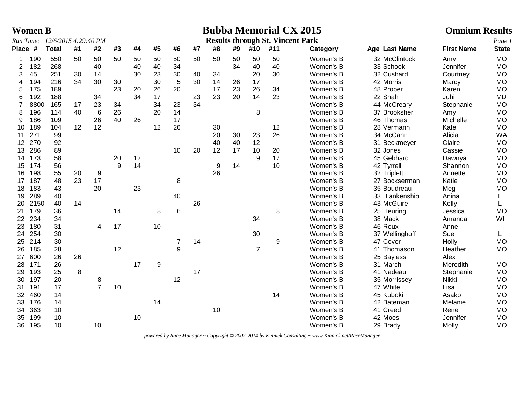|                 | <b>Women B</b> |                                |    |                |    |    |                  |                |    |    |    |                |                                         | <b>Bubba Memorial CX 2015</b> |                | <b>Omnium Results</b> |              |
|-----------------|----------------|--------------------------------|----|----------------|----|----|------------------|----------------|----|----|----|----------------|-----------------------------------------|-------------------------------|----------------|-----------------------|--------------|
|                 |                | Run Time: 12/6/2015 4:29:40 PM |    |                |    |    |                  |                |    |    |    |                | <b>Results through St. Vincent Park</b> |                               |                |                       | Page 1       |
| Place #         |                | <b>Total</b>                   | #1 | #2             | #3 | #4 | #5               | #6             | #7 | #8 | #9 | #10            | #11                                     | Category                      | Age Last Name  | <b>First Name</b>     | <b>State</b> |
| 1               | 190            | 550                            | 50 | 50             | 50 | 50 | 50               | 50             | 50 | 50 | 50 | 50             | 50                                      | Women's B                     | 32 McClintock  | Amy                   | <b>MO</b>    |
| 2               | 182            | 268                            |    | 40             |    | 40 | 40               | 34             |    |    | 34 | 40             | 40                                      | Women's B                     | 33 Schook      | Jennifer              | <b>MO</b>    |
| 3               | 45             | 251                            | 30 | 14             |    | 30 | 23               | 30             | 40 | 34 |    | 20             | 30                                      | Women's B                     | 32 Cushard     | Courtney              | <b>MO</b>    |
| 4               | 194            | 216                            | 34 | 30             | 30 |    | 30               | 5              | 30 | 14 | 26 | 17             |                                         | Women's B                     | 42 Morris      | Marcy                 | <b>MO</b>    |
| 5               | 175            | 189                            |    |                | 23 | 20 | 26               | 20             |    | 17 | 23 | 26             | 34                                      | Women's B                     | 48 Proper      | Karen                 | <b>MO</b>    |
| 6               | 192            | 188                            |    | 34             |    | 34 | 17               |                | 23 | 23 | 20 | 14             | 23                                      | Women's B                     | 22 Shah        | Juhi                  | <b>MD</b>    |
| $\overline{7}$  | 8800           | 165                            | 17 | 23             | 34 |    | 34               | 23             | 34 |    |    |                |                                         | Women's B                     | 44 McCreary    | Stephanie             | <b>MO</b>    |
| 8               | 196            | 114                            | 40 | $\,6$          | 26 |    | 20               | 14             |    |    |    | $\,8\,$        |                                         | Women's B                     | 37 Brooksher   | Amy                   | <b>MO</b>    |
| 9               | 186            | 109                            |    | 26             | 40 | 26 |                  | 17             |    |    |    |                |                                         | Women's B                     | 46 Thomas      | Michelle              | <b>MO</b>    |
| 10              | 189            | 104                            | 12 | 12             |    |    | 12               | 26             |    | 30 |    |                | 12                                      | Women's B                     | 28 Vermann     | Kate                  | <b>MO</b>    |
| 11              | 271            | 99                             |    |                |    |    |                  |                |    | 20 | 30 | 23             | 26                                      | Women's B                     | 34 McCann      | Alicia                | <b>WA</b>    |
| 12 <sup>2</sup> | 270            | 92                             |    |                |    |    |                  |                |    | 40 | 40 | 12             |                                         | Women's B                     | 31 Beckmeyer   | Claire                | <b>MO</b>    |
| 13              | 286            | 89                             |    |                |    |    |                  | 10             | 20 | 12 | 17 | 10             | 20                                      | Women's B                     | 32 Jones       | Cassie                | <b>MO</b>    |
| 14              | 173            | 58                             |    |                | 20 | 12 |                  |                |    |    |    | 9              | 17                                      | Women's B                     | 45 Gebhard     | Dawnya                | <b>MO</b>    |
| 15              | 174            | 56                             |    |                | 9  | 14 |                  |                |    | 9  | 14 |                | 10                                      | Women's B                     | 42 Tyrrell     | Shannon               | <b>MO</b>    |
| 16              | 198            | 55                             | 20 | 9              |    |    |                  |                |    | 26 |    |                |                                         | Women's B                     | 32 Triplett    | Annette               | <b>MO</b>    |
| 17              | 187            | 48                             | 23 | 17             |    |    |                  | 8              |    |    |    |                |                                         | Women's B                     | 27 Bockserman  | Katie                 | <b>MO</b>    |
| 18              | 183            | 43                             |    | 20             |    | 23 |                  |                |    |    |    |                |                                         | Women's B                     | 35 Boudreau    | Meg                   | <b>MO</b>    |
| 19              | 289            | 40                             |    |                |    |    |                  | 40             |    |    |    |                |                                         | Women's B                     | 33 Blankenship | Anina                 | IL           |
| 20              | 2150           | 40                             | 14 |                |    |    |                  |                | 26 |    |    |                |                                         | Women's B                     | 43 McGuire     | Kelly                 | IL.          |
| 21              | 179            | 36                             |    |                | 14 |    | 8                | 6              |    |    |    |                | 8                                       | Women's B                     | 25 Heuring     | Jessica               | <b>MO</b>    |
| 22              | 234            | 34                             |    |                |    |    |                  |                |    |    |    | 34             |                                         | Women's B                     | 38 Mack        | Amanda                | WI           |
| 23              | 180            | 31                             |    | 4              | 17 |    | 10               |                |    |    |    |                |                                         | Women's B                     | 46 Roux        | Anne                  |              |
| 24              | 254            | 30                             |    |                |    |    |                  |                |    |    |    | 30             |                                         | Women's B                     | 37 Wellinghoff | Sue                   | IL.          |
| 25              | 214            | 30                             |    |                |    |    |                  | $\overline{7}$ | 14 |    |    |                | 9                                       | Women's B                     | 47 Cover       | Holly                 | <b>MO</b>    |
| 26              | 185            | 28                             |    |                | 12 |    |                  | 9              |    |    |    | $\overline{7}$ |                                         | Women's B                     | 41 Thomason    | Heather               | <b>MO</b>    |
| 27              | 600            | 26                             | 26 |                |    |    |                  |                |    |    |    |                |                                         | Women's B                     | 25 Bayless     | Alex                  |              |
| 28              | 171            | 26                             |    |                |    | 17 | $\boldsymbol{9}$ |                |    |    |    |                |                                         | Women's B                     | 31 March       | Meredith              | <b>MO</b>    |
| 29              | 193            | 25                             | 8  |                |    |    |                  |                | 17 |    |    |                |                                         | Women's B                     | 41 Nadeau      | Stephanie             | <b>MO</b>    |
| 30              | 197            | 20                             |    | 8              |    |    |                  | 12             |    |    |    |                |                                         | Women's B                     | 35 Morrissey   | Nikki                 | <b>MO</b>    |
| 31              | 191            | 17                             |    | $\overline{7}$ | 10 |    |                  |                |    |    |    |                |                                         | Women's B                     | 47 White       | Lisa                  | <b>MO</b>    |
| 32              | 460            | 14                             |    |                |    |    |                  |                |    |    |    |                | 14                                      | Women's B                     | 45 Kuboki      | Asako                 | <b>MO</b>    |
| 33              | 176            | 14                             |    |                |    |    | 14               |                |    |    |    |                |                                         | Women's B                     | 42 Bateman     | Melanie               | <b>MO</b>    |
| 34              | 363            | 10                             |    |                |    |    |                  |                |    | 10 |    |                |                                         | Women's B                     | 41 Creed       | Rene                  | <b>MO</b>    |
| 35              | 199            | 10                             |    |                |    | 10 |                  |                |    |    |    |                |                                         | Women's B                     | 42 Moes        | Jennifer              | <b>MO</b>    |
|                 | 36 195         | 10                             |    | 10             |    |    |                  |                |    |    |    |                |                                         | Women's B                     | 29 Brady       | Molly                 | <b>MO</b>    |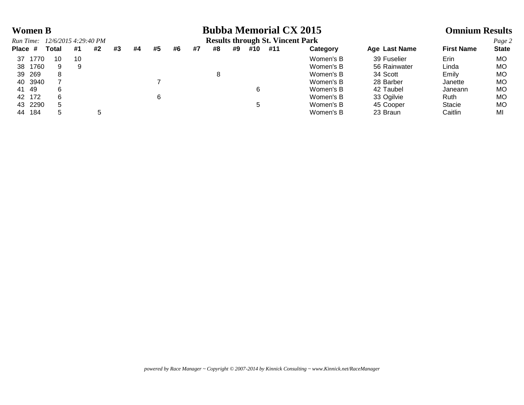# **Women B Bubba Memorial CX 2015 Omnium Results**

| Run Time:  | 12/6/2015 4:29:40 PM |    |    |    |    |    |    |    |    |    |     | <b>Results through St. Vincent Park</b> |           |               |                   | Page 2       |
|------------|----------------------|----|----|----|----|----|----|----|----|----|-----|-----------------------------------------|-----------|---------------|-------------------|--------------|
| Place #    | Total                | #1 | #2 | #3 | #4 | #5 | #6 | #7 | #8 | #9 | #10 | #11                                     | Category  | Age Last Name | <b>First Name</b> | <b>State</b> |
| 1770<br>37 | 10                   | 10 |    |    |    |    |    |    |    |    |     |                                         | Women's B | 39 Fuselier   | Erin              | MО           |
| 1760<br>38 | 9                    | 9  |    |    |    |    |    |    |    |    |     |                                         | Women's B | 56 Rainwater  | Linda             | МO           |
| 269<br>39  | 8                    |    |    |    |    |    |    |    |    |    |     |                                         | Women's B | 34 Scott      | Emily             | MО           |
| 40 3940    |                      |    |    |    |    |    |    |    |    |    |     |                                         | Women's B | 28 Barber     | Janette           | MО           |
| 41 49      |                      |    |    |    |    |    |    |    |    |    | 6   |                                         | Women's B | 42 Taubel     | Janeann           | MО           |
| 172<br>42  |                      |    |    |    |    |    |    |    |    |    |     |                                         | Women's B | 33 Ogilvie    | <b>Ruth</b>       | MО           |
| 43 2290    |                      |    |    |    |    |    |    |    |    |    |     |                                         | Women's B | 45 Cooper     | <b>Stacie</b>     | MО           |
| 184<br>44  |                      |    |    |    |    |    |    |    |    |    |     |                                         | Women's B | 23 Braun      | Caitlin           | MI           |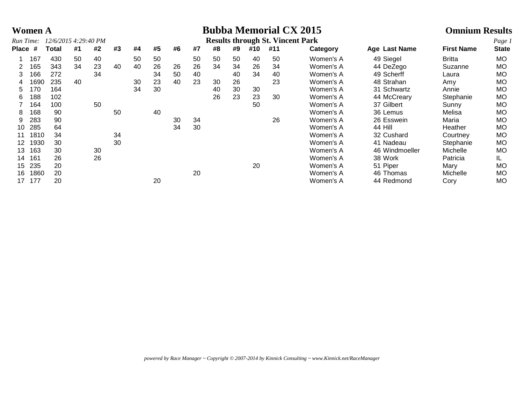# **Women A Bubba Memorial CX 2015 Omnium Results**

| Run Time: |      | 12/6/2015 4:29:40 PM |    |    |    |    |    |    |    |    |    |     | <b>Results through St. Vincent Park</b> |           |                |                   | Page 1       |
|-----------|------|----------------------|----|----|----|----|----|----|----|----|----|-----|-----------------------------------------|-----------|----------------|-------------------|--------------|
| Place #   |      | Total                | #1 | #2 | #3 | #4 | #5 | #6 | #7 | #8 | #9 | #10 | #11                                     | Category  | Age Last Name  | <b>First Name</b> | <b>State</b> |
|           | 167  | 430                  | 50 | 40 |    | 50 | 50 |    | 50 | 50 | 50 | 40  | 50                                      | Women's A | 49 Siegel      | <b>Britta</b>     | <b>MO</b>    |
|           | 165  | 343                  | 34 | 23 | 40 | 40 | 26 | 26 | 26 | 34 | 34 | 26  | 34                                      | Women's A | 44 DeZego      | Suzanne           | <b>MO</b>    |
|           | 166  | 272                  |    | 34 |    |    | 34 | 50 | 40 |    | 40 | 34  | 40                                      | Women's A | 49 Scherff     | Laura             | MO.          |
| 4         | 1690 | 235                  | 40 |    |    | 30 | 23 | 40 | 23 | 30 | 26 |     | 23                                      | Women's A | 48 Strahan     | Amy               | MO           |
| 5         | 170  | 164                  |    |    |    | 34 | 30 |    |    | 40 | 30 | 30  |                                         | Women's A | 31 Schwartz    | Annie             | MO           |
| 6         | 188  | 102                  |    |    |    |    |    |    |    | 26 | 23 | 23  | 30                                      | Women's A | 44 McCreary    | Stephanie         | MO           |
|           | 164  | 100                  |    | 50 |    |    |    |    |    |    |    | 50  |                                         | Women's A | 37 Gilbert     | Sunny             | MO           |
| 8         | 168  | 90                   |    |    | 50 |    | 40 |    |    |    |    |     |                                         | Women's A | 36 Lemus       | Melisa            | MO.          |
| 9         | 283  | 90                   |    |    |    |    |    | 30 | 34 |    |    |     | 26                                      | Women's A | 26 Esswein     | Maria             | <b>MO</b>    |
| 10        | 285  | 64                   |    |    |    |    |    | 34 | 30 |    |    |     |                                         | Women's A | 44 Hill        | Heather           | <b>MO</b>    |
|           | 1810 | 34                   |    |    | 34 |    |    |    |    |    |    |     |                                         | Women's A | 32 Cushard     | Courtney          | <b>MO</b>    |
| 12        | 1930 | 30                   |    |    | 30 |    |    |    |    |    |    |     |                                         | Women's A | 41 Nadeau      | Stephanie         | <b>MO</b>    |
| 13        | 163  | 30                   |    | 30 |    |    |    |    |    |    |    |     |                                         | Women's A | 46 Windmoeller | Michelle          | <b>MO</b>    |
| 14        | 161  | 26                   |    | 26 |    |    |    |    |    |    |    |     |                                         | Women's A | 38 Work        | Patricia          | IL.          |
| 15        | 235  | 20                   |    |    |    |    |    |    |    |    |    | 20  |                                         | Women's A | 51 Piper       | Mary              | <b>MO</b>    |
| 16        | 1860 | 20                   |    |    |    |    |    |    | 20 |    |    |     |                                         | Women's A | 46 Thomas      | Michelle          | MO           |
| 17        | 177  | 20                   |    |    |    |    | 20 |    |    |    |    |     |                                         | Women's A | 44 Redmond     | Cory              | MO           |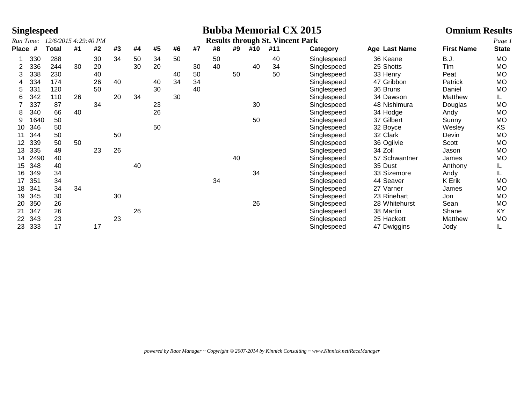|              | <b>Singlespeed</b> |                      |    |    |    |    |    |    |    |    |    |     | <b>Bubba Memorial CX 2015</b>           |             |               | <b>Omnium Results</b> |              |
|--------------|--------------------|----------------------|----|----|----|----|----|----|----|----|----|-----|-----------------------------------------|-------------|---------------|-----------------------|--------------|
| Run Time:    |                    | 12/6/2015 4:29:40 PM |    |    |    |    |    |    |    |    |    |     | <b>Results through St. Vincent Park</b> |             |               |                       | Page 1       |
| <b>Place</b> | #                  | <b>Total</b>         | #1 | #2 | #3 | #4 | #5 | #6 | #7 | #8 | #9 | #10 | #11                                     | Category    | Age Last Name | <b>First Name</b>     | <b>State</b> |
|              | 330                | 288                  |    | 30 | 34 | 50 | 34 | 50 |    | 50 |    |     | 40                                      | Singlespeed | 36 Keane      | <b>B.J.</b>           | <b>MO</b>    |
| 2            | 336                | 244                  | 30 | 20 |    | 30 | 20 |    | 30 | 40 |    | 40  | 34                                      | Singlespeed | 25 Shotts     | Tim                   | MO           |
| 3            | 338                | 230                  |    | 40 |    |    |    | 40 | 50 |    | 50 |     | 50                                      | Singlespeed | 33 Henry      | Peat                  | MO           |
|              | 334                | 174                  |    | 26 | 40 |    | 40 | 34 | 34 |    |    |     |                                         | Singlespeed | 47 Gribbon    | Patrick               | MO           |
| 5            | 331                | 120                  |    | 50 |    |    | 30 |    | 40 |    |    |     |                                         | Singlespeed | 36 Bruns      | Daniel                | <b>MO</b>    |
| 6            | 342                | 110                  | 26 |    | 20 | 34 |    | 30 |    |    |    |     |                                         | Singlespeed | 34 Dawson     | Matthew               | IL           |
|              | 337                | 87                   |    | 34 |    |    | 23 |    |    |    |    | 30  |                                         | Singlespeed | 48 Nishimura  | Douglas               | <b>MO</b>    |
| 8            | 340                | 66                   | 40 |    |    |    | 26 |    |    |    |    |     |                                         | Singlespeed | 34 Hodge      | Andy                  | <b>MO</b>    |
| 9            | 1640               | 50                   |    |    |    |    |    |    |    |    |    | 50  |                                         | Singlespeed | 37 Gilbert    | Sunny                 | <b>MO</b>    |
| 10           | 346                | 50                   |    |    |    |    | 50 |    |    |    |    |     |                                         | Singlespeed | 32 Boyce      | Wesley                | KS           |
|              | 344                | 50                   |    |    | 50 |    |    |    |    |    |    |     |                                         | Singlespeed | 32 Clark      | Devin                 | MO           |
| 12           | 339                | 50                   | 50 |    |    |    |    |    |    |    |    |     |                                         | Singlespeed | 36 Ogilvie    | Scott                 | MO           |
| 13           | 335                | 49                   |    | 23 | 26 |    |    |    |    |    |    |     |                                         | Singlespeed | 34 Zoll       | Jason                 | <b>MO</b>    |
| 14           | 2490               | 40                   |    |    |    |    |    |    |    |    | 40 |     |                                         | Singlespeed | 57 Schwantner | James                 | <b>MO</b>    |
| 15           | 348                | 40                   |    |    |    | 40 |    |    |    |    |    |     |                                         | Singlespeed | 35 Dust       | Anthony               | IL.          |
| 16           | 349                | 34                   |    |    |    |    |    |    |    |    |    | 34  |                                         | Singlespeed | 33 Sizemore   | Andy                  | IL.          |
| 17           | 351                | 34                   |    |    |    |    |    |    |    | 34 |    |     |                                         | Singlespeed | 44 Seaver     | K Erik                | <b>MO</b>    |
| 18           | 341                | 34                   | 34 |    |    |    |    |    |    |    |    |     |                                         | Singlespeed | 27 Varner     | James                 | MO           |
| 19           | 345                | 30                   |    |    | 30 |    |    |    |    |    |    |     |                                         | Singlespeed | 23 Rinehart   | Jon                   | MO           |
| 20           | 350                | 26                   |    |    |    |    |    |    |    |    |    | 26  |                                         | Singlespeed | 28 Whitehurst | Sean                  | <b>MO</b>    |
| 21           | 347                | 26                   |    |    |    | 26 |    |    |    |    |    |     |                                         | Singlespeed | 38 Martin     | Shane                 | <b>KY</b>    |
| 22           | 343                | 23                   |    |    | 23 |    |    |    |    |    |    |     |                                         | Singlespeed | 25 Hackett    | Matthew               | <b>MO</b>    |
| 23           | 333                | 17                   |    | 17 |    |    |    |    |    |    |    |     |                                         | Singlespeed | 47 Dwiggins   | Jody                  | IL.          |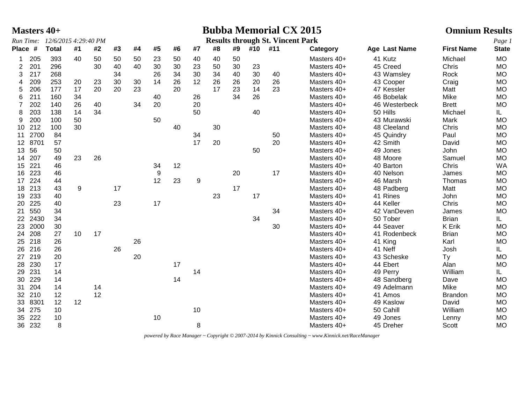|                 |         | <b>Masters 40+</b>             |    |    |    |    |    |    |    |    |    |     | <b>Bubba Memorial CX 2015</b>           |             |               | <b>Omnium Results</b> |              |
|-----------------|---------|--------------------------------|----|----|----|----|----|----|----|----|----|-----|-----------------------------------------|-------------|---------------|-----------------------|--------------|
|                 |         | Run Time: 12/6/2015 4:29:40 PM |    |    |    |    |    |    |    |    |    |     | <b>Results through St. Vincent Park</b> |             |               |                       | Page 1       |
| Place #         |         | <b>Total</b>                   | #1 | #2 | #3 | #4 | #5 | #6 | #7 | #8 | #9 | #10 | #11                                     | Category    | Age Last Name | <b>First Name</b>     | <b>State</b> |
| 1               | 205     | 393                            | 40 | 50 | 50 | 50 | 23 | 50 | 40 | 40 | 50 |     |                                         | Masters 40+ | 41 Kutz       | Michael               | <b>MO</b>    |
| 2               | 201     | 296                            |    | 30 | 40 | 40 | 30 | 30 | 23 | 50 | 30 | 23  |                                         | Masters 40+ | 45 Creed      | Chris                 | <b>MO</b>    |
| 3               | 217     | 268                            |    |    | 34 |    | 26 | 34 | 30 | 34 | 40 | 30  | 40                                      | Masters 40+ | 43 Wamsley    | Rock                  | <b>MO</b>    |
| 4               | 209     | 253                            | 20 | 23 | 30 | 30 | 14 | 26 | 12 | 26 | 26 | 20  | 26                                      | Masters 40+ | 43 Cooper     | Craig                 | <b>MO</b>    |
| 5               | 206     | 177                            | 17 | 20 | 20 | 23 |    | 20 |    | 17 | 23 | 14  | 23                                      | Masters 40+ | 47 Kessler    | Matt                  | <b>MO</b>    |
| 6               | 211     | 160                            | 34 |    |    |    | 40 |    | 26 |    | 34 | 26  |                                         | Masters 40+ | 46 Bobelak    | Mike                  | <b>MO</b>    |
| $\overline{7}$  | 202     | 140                            | 26 | 40 |    | 34 | 20 |    | 20 |    |    |     |                                         | Masters 40+ | 46 Westerbeck | <b>Brett</b>          | <b>MO</b>    |
| 8               | 203     | 138                            | 14 | 34 |    |    |    |    | 50 |    |    | 40  |                                         | Masters 40+ | 50 Hills      | Michael               | IL.          |
| 9               | 200     | 100                            | 50 |    |    |    | 50 |    |    |    |    |     |                                         | Masters 40+ | 43 Murawski   | Mark                  | <b>MO</b>    |
| 10              | 212     | 100                            | 30 |    |    |    |    | 40 |    | 30 |    |     |                                         | Masters 40+ | 48 Cleeland   | Chris                 | <b>MO</b>    |
| 11              | 2700    | 84                             |    |    |    |    |    |    | 34 |    |    |     | 50                                      | Masters 40+ | 45 Quindry    | Paul                  | <b>MO</b>    |
|                 | 12 8701 | 57                             |    |    |    |    |    |    | 17 | 20 |    |     | 20                                      | Masters 40+ | 42 Smith      | David                 | <b>MO</b>    |
| 13              | 56      | 50                             |    |    |    |    |    |    |    |    |    | 50  |                                         | Masters 40+ | 49 Jones      | John                  | <b>MO</b>    |
| 14              | 207     | 49                             | 23 | 26 |    |    |    |    |    |    |    |     |                                         | Masters 40+ | 48 Moore      | Samuel                | <b>MO</b>    |
| 15 <sub>1</sub> | 221     | 46                             |    |    |    |    | 34 | 12 |    |    |    |     |                                         | Masters 40+ | 40 Barton     | Chris                 | <b>WA</b>    |
| 16              | 223     | 46                             |    |    |    |    | 9  |    |    |    | 20 |     | 17                                      | Masters 40+ | 40 Nelson     | James                 | <b>MO</b>    |
| 17              | 224     | 44                             |    |    |    |    | 12 | 23 | 9  |    |    |     |                                         | Masters 40+ | 46 Marsh      | Thomas                | <b>MO</b>    |
| 18              | 213     | 43                             | 9  |    | 17 |    |    |    |    |    | 17 |     |                                         | Masters 40+ | 48 Padberg    | Matt                  | <b>MO</b>    |
| 19              | 233     | 40                             |    |    |    |    |    |    |    | 23 |    | 17  |                                         | Masters 40+ | 41 Rines      | John                  | <b>MO</b>    |
| 20              | 225     | 40                             |    |    | 23 |    | 17 |    |    |    |    |     |                                         | Masters 40+ | 44 Keller     | Chris                 | <b>MO</b>    |
| 21              | 550     | 34                             |    |    |    |    |    |    |    |    |    |     | 34                                      | Masters 40+ | 42 VanDeven   | James                 | <b>MO</b>    |
|                 | 22 2430 | 34                             |    |    |    |    |    |    |    |    |    | 34  |                                         | Masters 40+ | 50 Tober      | <b>Brian</b>          | IL.          |
| 23              | 2000    | 30                             |    |    |    |    |    |    |    |    |    |     | 30                                      | Masters 40+ | 44 Seaver     | K Erik                | <b>MO</b>    |
| 24              | 208     | 27                             | 10 | 17 |    |    |    |    |    |    |    |     |                                         | Masters 40+ | 41 Rodenbeck  | <b>Brian</b>          | <b>MO</b>    |
|                 | 25 218  | 26                             |    |    |    | 26 |    |    |    |    |    |     |                                         | Masters 40+ | 41 King       | Karl                  | <b>MO</b>    |
| 26              | 216     | 26                             |    |    | 26 |    |    |    |    |    |    |     |                                         | Masters 40+ | 41 Neff       | Josh                  | IL.          |
| 27              | 219     | 20                             |    |    |    | 20 |    |    |    |    |    |     |                                         | Masters 40+ | 43 Scheske    | <b>Ty</b>             | <b>MO</b>    |
| 28              | 230     | 17                             |    |    |    |    |    | 17 |    |    |    |     |                                         | Masters 40+ | 44 Ebert      | Alan                  | <b>MO</b>    |
| 29              | 231     | 14                             |    |    |    |    |    |    | 14 |    |    |     |                                         | Masters 40+ | 49 Perry      | William               | IL.          |
| 30              | 229     | 14                             |    |    |    |    |    | 14 |    |    |    |     |                                         | Masters 40+ | 48 Sandberg   | Dave                  | <b>MO</b>    |
| 31              | 204     | 14                             |    | 14 |    |    |    |    |    |    |    |     |                                         | Masters 40+ | 49 Adelmann   | Mike                  | <b>MO</b>    |
|                 | 32 210  | 12                             |    | 12 |    |    |    |    |    |    |    |     |                                         | Masters 40+ | 41 Amos       | <b>Brandon</b>        | <b>MO</b>    |
| 33              | 8301    | 12                             | 12 |    |    |    |    |    |    |    |    |     |                                         | Masters 40+ | 49 Kaslow     | David                 | <b>MO</b>    |
| 34              | 275     | 10                             |    |    |    |    |    |    | 10 |    |    |     |                                         | Masters 40+ | 50 Cahill     | William               | <b>MO</b>    |
|                 |         |                                |    |    |    |    |    |    |    |    |    |     |                                         |             |               |                       |              |
| 35              | 222     | 10                             |    |    |    |    | 10 |    |    |    |    |     |                                         | Masters 40+ | 49 Jones      | Lenny                 | <b>MO</b>    |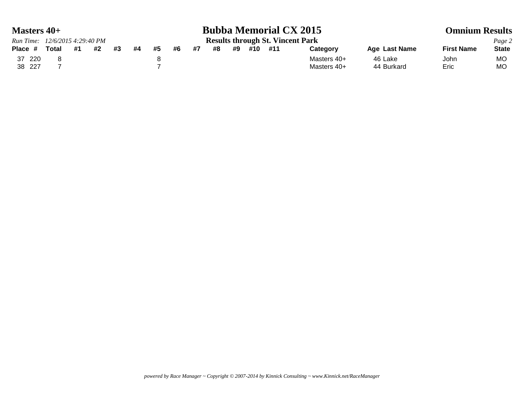| <b>Masters 40+</b>             |       |    |    |    | <b>Bubba Memorial CX 2015</b> |    |                                         |    |    |    |     |     | <b>Omnium Results</b> |               |                   |              |
|--------------------------------|-------|----|----|----|-------------------------------|----|-----------------------------------------|----|----|----|-----|-----|-----------------------|---------------|-------------------|--------------|
| Run Time: 12/6/2015 4:29:40 PM |       |    |    |    |                               |    | <b>Results through St. Vincent Park</b> |    |    |    |     |     |                       |               |                   | Page 2       |
| Place #                        | Total | #1 | #2 | #3 | #4                            | #5 | #6                                      | #7 | #8 | #9 | #10 | #11 | Category              | Age Last Name | <b>First Name</b> | <b>State</b> |
| 37 220                         |       |    |    |    |                               |    |                                         |    |    |    |     |     | Masters 40+           | 46 Lake       | John              | MO           |
| 38 227                         |       |    |    |    |                               |    |                                         |    |    |    |     |     | Masters 40+           | 44 Burkard    | Eric              | MO           |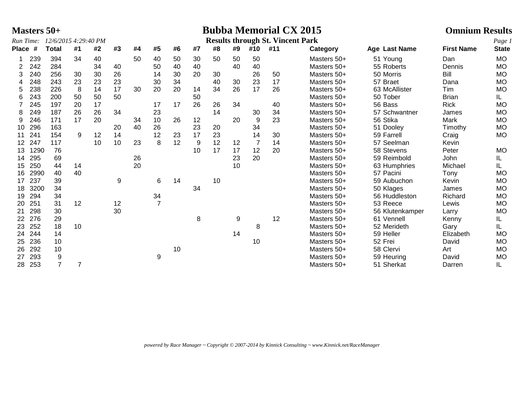| <b>Bubba Memorial CX 2015</b><br><b>Masters 50+</b> |                                   |                  |    |    |    |                                         |                |    |    |    |    |                |     | <b>Omnium Results</b> |                 |                   |              |
|-----------------------------------------------------|-----------------------------------|------------------|----|----|----|-----------------------------------------|----------------|----|----|----|----|----------------|-----|-----------------------|-----------------|-------------------|--------------|
|                                                     | Run Time:<br>12/6/2015 4:29:40 PM |                  |    |    |    | <b>Results through St. Vincent Park</b> |                |    |    |    |    |                |     |                       |                 |                   | Page 1       |
| <b>Place</b>                                        | #                                 | <b>Total</b>     | #1 | #2 | #3 | #4                                      | #5             | #6 | #7 | #8 | #9 | #10            | #11 | Category              | Age Last Name   | <b>First Name</b> | <b>State</b> |
|                                                     | 239                               | 394              | 34 | 40 |    | 50                                      | 40             | 50 | 30 | 50 | 50 | 50             |     | Masters 50+           | 51 Young        | Dan               | <b>MO</b>    |
| 2                                                   | 242                               | 284              |    | 34 | 40 |                                         | 50             | 40 | 40 |    | 40 | 40             |     | Masters 50+           | 55 Roberts      | Dennis            | <b>MO</b>    |
| 3                                                   | 240                               | 256              | 30 | 30 | 26 |                                         | 14             | 30 | 20 | 30 |    | 26             | 50  | Masters 50+           | 50 Morris       | Bill              | <b>MO</b>    |
|                                                     | 248                               | 243              | 23 | 23 | 23 |                                         | 30             | 34 |    | 40 | 30 | 23             | 17  | Masters 50+           | 57 Braet        | Dana              | <b>MO</b>    |
| 5                                                   | 238                               | 226              | 8  | 14 | 17 | 30                                      | 20             | 20 | 14 | 34 | 26 | 17             | 26  | Masters 50+           | 63 McAllister   | Tim               | <b>MO</b>    |
| 6                                                   | 243                               | 200              | 50 | 50 | 50 |                                         |                |    | 50 |    |    |                |     | Masters 50+           | 50 Tober        | <b>Brian</b>      | IL           |
|                                                     | 245                               | 197              | 20 | 17 |    |                                         | 17             | 17 | 26 | 26 | 34 |                | 40  | Masters 50+           | 56 Bass         | <b>Rick</b>       | <b>MO</b>    |
| 8                                                   | 249                               | 187              | 26 | 26 | 34 |                                         | 23             |    |    | 14 |    | 30             | 34  | Masters 50+           | 57 Schwantner   | James             | <b>MO</b>    |
| 9                                                   | 246                               | 171              | 17 | 20 |    | 34                                      | 10             | 26 | 12 |    | 20 | 9              | 23  | Masters 50+           | 56 Stika        | Mark              | <b>MO</b>    |
| 10                                                  | 296                               | 163              |    |    | 20 | 40                                      | 26             |    | 23 | 20 |    | 34             |     | Masters 50+           | 51 Dooley       | Timothy           | <b>MO</b>    |
| 11                                                  | 241                               | 154              | 9  | 12 | 14 |                                         | 12             | 23 | 17 | 23 |    | 14             | 30  | Masters 50+           | 59 Farrell      | Craig             | <b>MO</b>    |
| 12                                                  | 247                               | 117              |    | 10 | 10 | 23                                      | 8              | 12 | 9  | 12 | 12 | $\overline{7}$ | 14  | Masters 50+           | 57 Seelman      | Kevin             |              |
| 13                                                  | 1290                              | 76               |    |    |    |                                         |                |    | 10 | 17 | 17 | 12             | 20  | Masters 50+           | 58 Stevens      | Peter             | <b>MO</b>    |
| 14                                                  | 295                               | 69               |    |    |    | 26                                      |                |    |    |    | 23 | 20             |     | Masters 50+           | 59 Reimbold     | John              | IL           |
| 15                                                  | 250                               | 44               | 14 |    |    | 20                                      |                |    |    |    | 10 |                |     | Masters 50+           | 63 Humphries    | Michael           | IL           |
| 16                                                  | 2990                              | 40               | 40 |    |    |                                         |                |    |    |    |    |                |     | Masters 50+           | 57 Pacini       | Tony              | <b>MO</b>    |
| 17                                                  | 237                               | 39               |    |    | 9  |                                         | 6              | 14 |    | 10 |    |                |     | Masters 50+           | 59 Aubuchon     | Kevin             | <b>MO</b>    |
| 18                                                  | 3200                              | 34               |    |    |    |                                         |                |    | 34 |    |    |                |     | Masters 50+           | 50 Klages       | James             | <b>MO</b>    |
| 19                                                  | 294                               | 34               |    |    |    |                                         | 34             |    |    |    |    |                |     | Masters 50+           | 56 Huddleston   | Richard           | <b>MO</b>    |
| 20                                                  | 251                               | 31               | 12 |    | 12 |                                         | $\overline{7}$ |    |    |    |    |                |     | Masters 50+           | 53 Reece        | Lewis             | <b>MO</b>    |
| 21                                                  | 298                               | 30               |    |    | 30 |                                         |                |    |    |    |    |                |     | Masters 50+           | 56 Klutenkamper | Larry             | <b>MO</b>    |
| 22                                                  | 276                               | 29               |    |    |    |                                         |                |    | 8  |    | 9  |                | 12  | Masters 50+           | 61 Vennell      | Kenny             | IL           |
| 23                                                  | 252                               | 18               | 10 |    |    |                                         |                |    |    |    |    | 8              |     | Masters 50+           | 52 Merideth     | Gary              | IL           |
| 24                                                  | 244                               | 14               |    |    |    |                                         |                |    |    |    | 14 |                |     | Masters 50+           | 59 Heller       | Elizabeth         | <b>MO</b>    |
| 25                                                  | 236                               | 10               |    |    |    |                                         |                |    |    |    |    | 10             |     | Masters 50+           | 52 Frei         | David             | <b>MO</b>    |
| 26                                                  | 292                               | 10               |    |    |    |                                         |                | 10 |    |    |    |                |     | Masters 50+           | 58 Clervi       | Art               | <b>MO</b>    |
| 27                                                  | 293                               | $\boldsymbol{9}$ |    |    |    |                                         | 9              |    |    |    |    |                |     | Masters 50+           | 59 Heuring      | David             | <b>MO</b>    |
| 28                                                  | 253                               | $\overline{7}$   | 7  |    |    |                                         |                |    |    |    |    |                |     | Masters 50+           | 51 Sherkat      | Darren            | IL           |